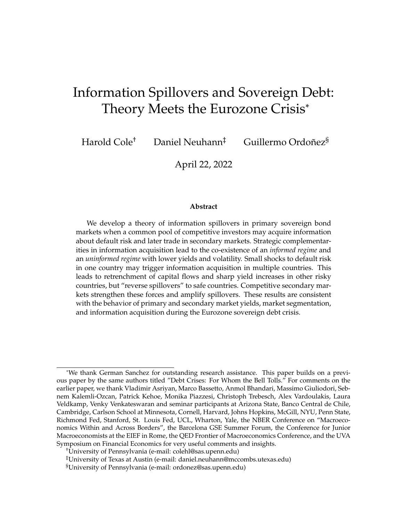# Information Spillovers and Sovereign Debt: Theory Meets the Eurozone Crisis\*

Harold Cole $^\dagger$   $\;$  Daniel Neuhann $^\ddagger$   $\;$  Guillermo Ordoñez $^{\S}$ 

April 22, 2022

#### **Abstract**

We develop a theory of information spillovers in primary sovereign bond markets when a common pool of competitive investors may acquire information about default risk and later trade in secondary markets. Strategic complementarities in information acquisition lead to the co-existence of an *informed regime* and an *uninformed regime* with lower yields and volatility. Small shocks to default risk in one country may trigger information acquisition in multiple countries. This leads to retrenchment of capital flows and sharp yield increases in other risky countries, but "reverse spillovers" to safe countries. Competitive secondary markets strengthen these forces and amplify spillovers. These results are consistent with the behavior of primary and secondary market yields, market segmentation, and information acquisition during the Eurozone sovereign debt crisis.

<sup>\*</sup>We thank German Sanchez for outstanding research assistance. This paper builds on a previous paper by the same authors titled "Debt Crises: For Whom the Bell Tolls." For comments on the earlier paper, we thank Vladimir Asriyan, Marco Bassetto, Anmol Bhandari, Massimo Giuliodori, Sebnem Kalemli-Ozcan, Patrick Kehoe, Monika Piazzesi, Christoph Trebesch, Alex Vardoulakis, Laura Veldkamp, Venky Venkateswaran and seminar participants at Arizona State, Banco Central de Chile, Cambridge, Carlson School at Minnesota, Cornell, Harvard, Johns Hopkins, McGill, NYU, Penn State, Richmond Fed, Stanford, St. Louis Fed, UCL, Wharton, Yale, the NBER Conference on "Macroeconomics Within and Across Borders", the Barcelona GSE Summer Forum, the Conference for Junior Macroeconomists at the EIEF in Rome, the QED Frontier of Macroeconomics Conference, and the UVA Symposium on Financial Economics for very useful comments and insights.

<sup>†</sup>University of Pennsylvania (e-mail: colehl@sas.upenn.edu)

<sup>‡</sup>University of Texas at Austin (e-mail: daniel.neuhann@mccombs.utexas.edu)

<sup>§</sup>University of Pennsylvania (e-mail: ordonez@sas.upenn.edu)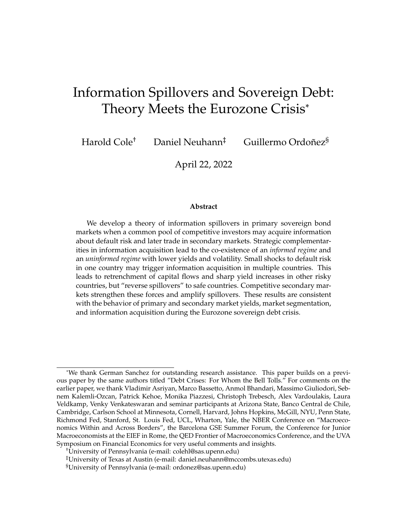### **1 Introduction**

Governments typically finance large parts of their budgets by selling bonds in sequences of auctions. The most commonly-used protocol in these auctions is the discriminatory-price protocol in which accepted bids are executed at the bid price.<sup>1</sup> This leads to information rents for investors who know more about the common value of bonds than others.<sup>2</sup> Information is particularly valuable during periods of heightened uncertainty (such as crises) in which default risk can vary substantially from auction to auction. In such circumstances investors may be more inclined to either acquire information or to withdraw from auctions in which other investors have an information advantage, moving funds to other countries or safer investment opportunities. We analyze equilibrium portfolio choice and information acquisition in discriminatory-price auctions using a multi-country model with stochastic government default risk and trading in both primary and secondary markets. We show that the discriminatory-price protocol leads to a novel information-based channel of cross-country spillovers that originates in primary markets (and thus directly affects government revenues) and is reinforced by secondary market trading.

We apply our theory to the recent Eurozone sovereign debt crises, which generated a number of striking empirical regularities. Chief among these is that yields for countries with very different public finances were quite similar prior to the crisis, but diverged sharply thereafter. For example, Portugal and Italy paid a negligible premium over German bond yields prior to the crisis, but Portuguese and Italian yields spiked sharply during the crisis while German yields fell. These pricing facts align with changes in portfolios: markets were well-integrated before the crisis, with many investors holding bonds in multiple countries, but quickly fragmented *during* and *after* the crisis. Italian and Portuguese bonds were predominantly held by domestic investors during and after the crisis, but German bonds were increasingly held by non-resident investors after the crisis. We measure the information content of auctions by asking whether realized auction prices reveal information that is persistently reflected in secondary market prices. We find evidence that auction prices contained

<sup>&</sup>lt;sup>1</sup>Brenner, Galai, and Sade (2009) collected data of sovereign bond primary markets in 48 countries. They show that 42 of these countries used auctions, with 24 using discriminatory-price auctions, 9 using uniform-price auctions and 9 using both (for different securities). This is consistent with earlier results by Bartolini and Cottarelli (2001).

<sup>&</sup>lt;sup>2</sup>Milton Friedman famously argued that the U.S. should switch from largely relying on discriminating-price auctions to uniform-price auctions for this reason (Hearings before the Joint Economic Committee, 86th Congress, 1st Session, Washington, D.C., October 30, 1959, 3023-3026).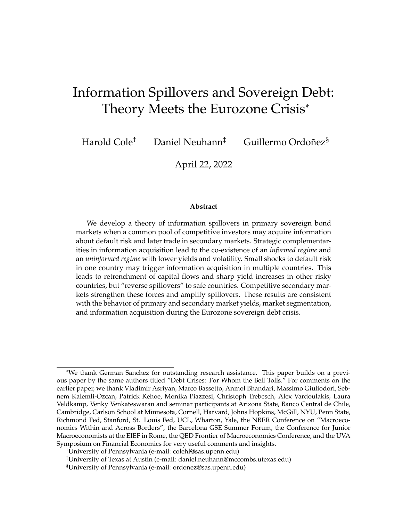information in periphery countries during the Eurozone crisis, but not before the crisis, and not in core countries.

We provide an account of these facts using a model with two countries and a continuum of risk averse investors. In each country, a discriminatory-price multiunit auction takes place in advance of a competitive secondary market. Auctions are multi-unit and sealed bid; hence investors must choose how many bids to submit before observing others' demand. Governments face an exogenous revenue requirement, and bonds are risky because governments may default according to an exogenous stochastic process. No investor knows the true default risk in both countries, but they can learn it at a cost in one or both countries. Information is valuable because informed investors can better target bids to fundamental bond values.

Since the bonds being auctioned are risky and bidders are risk averse, investors require compensation in form of risk premia, and risk premia naturally increase with a concentration in bond holdings. When all investors are uninformed, optimal bidding strategies lead to well-diversified portfolios that are symmetric across all agents. In the presence of informed investors, uninformed investors instead face a trade-off between capturing infra-marginal risk premia and overpaying in bad states of the world. In equilibrium, uninformed investors bid less in auctions with many informed bidders, and their reduced participation is reflected in lower prices because informed investors must bear more risk. This leads to knock-on effects on portfolios: informed investors disproportionately invest in countries in which they are informed, and uninformed investor either shift to risk-free assets or to countries in which they are not at an informational disadvantage.

Depending on the information environment, the cross-country spillovers induced by such portfolio re-allocations can be symmetric (yields co-move in both countries) or asymmetric (yields in one country decline in response to a yield increase in the other). With respect to symmetric spillovers, we establish the well-known result that higher default risk in one country leads to lower prices in all countries if preferences satisfy decreasing risk aversion. While this channel can help to rationalize yield correlations between Portugal and Italy during Eurozone crisis, it cannot speak to the observed portfolio reallocation across investors or the *decrease* in yields in Germany and other core countries.. We obtain asymmetric spillovers when one country is relatively risky and informed while the other is a "safe haven" with low default risk and no information. This allows us to speak to the divergent paths of Germany and the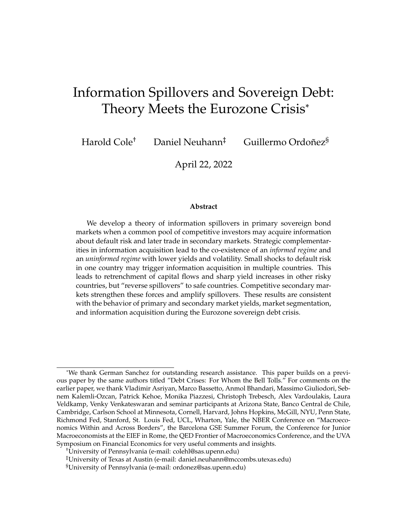periphery during the crisis.

For risk-averse bidders, the ability to accurately forecast marginal prices is more valuable if prices are more variable across states of the world, if they hold a large share of their bonds in a particular country, or if they place particular weight on states with high marginal utility, such as a government default. All else equal, the value of information is thus increasing in debt levels, portfolio concentration, and the *level* and *variance* of default risk. Conversely, marginal prices are more variable when there are more informed investors who target their bids to the realized state of the world. Hence the value of information may increase in the share of informed investors who participate in the auction. However, information acquisition is a *strategic complement* only when the number of informed investors is low. If the share of informed investors is large, they compete away the information rents leading to a reduction in the value of information.

The resulting strategic interactions in information acquisition allow for multiple equilibria distinguished by their information regime. In the *informed regime* in which a strictly positive share of investors acquire information, prices are volatile because they respond to underlying shocks, and they are low on average because the winner's curse deters bids by uninformed investors. In the *uninformed regime*, prices are stable because they are not sensitive to the underlying state, and they are higher than the expected price in the informed regime. This is for two reasons: the lack of winner' curse encourages participation, and, under convex marginal utility, the required risk premium is lower when bonds are priced according to an average default probability. Hence changes in the information regime generate discontinuous changes in pricing functions and portfolios. Given that the value of information depends on fundamentals such as default risk, regime changes and the associated yield shocks may be precipitated by relatively small fundamental shocks, such as an increase in the worst case risk of default. This allows us to speak to the sudden and large spikes during the Eurozone crisis. Importantly, these effects arise *only* because we explicitly model the primary market protocol; in Walrasian markets, information acquisition is a strategic substitute (see e.g Grossman and Stiglitz (1976)).

The presence of a common pool of investors in turn creates the scope for crosscountry *spillovers in information regimes* driven by market fragmentation in response to asymmetric information. When some investors acquire information in one country, the remaining uninformed investors reallocate funds to the other country. But when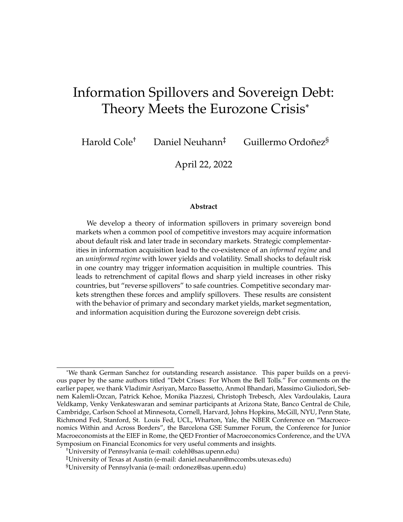portfolios become concentrated in a single asset, investors have stronger incentives to acquire information about this asset. Accordingly, we show that a single fundamental shock in one country can lead to a switch in the information regime in both countries. We use this feature of the model to rationalize the patterns and timing of changes in yields and measures of information in Portugal and Italy during the Eurozone crisis. We also show that information spillovers do not occur if the "target" country is too safe; this allows us to rationalize the declining yields and lack of information production in Germany in response to information acquisition and spiking yields in Portugal and Italy.

Perhaps surprisingly, the information effects we document are strengthened by the presence of secondary markets. The key impediment to exploiting an information advantage at auction is that buying many bonds exposes an investor to excessive default risk. Since auction prices are made public at the end of the auction, secondary markets take place under symmetric information. Hence informed investors can sell high-quality bonds at high prices, allowing them to capture information rents at auction while remaining well-diversified ex post. For this interaction, it is critical that bidders are risk averse and that the auction is multi unit: if bidders were risk neutral, they would maximally exploit their information advantage irrespective of secondary market trading opportunities. This suggests a simple test of our theory: if some investors are better informed about bond prices than others, then auction prices should reveal information that is priced in secondary markets. In line with the idea that information acquisition occurred only once Portugal and Italy were sufficiently risky, we find that auction prices indeed reveal priced information in these countries *during the crisis*, but not before.

Our application to the Eurozone considers a sequence of auctions over time, and it relies on the natural assumption that there are distinct investor groups (i.e. Portuguese, Italian, German, and global) whose information costs are relatively low in their home countries but high abroad. In addition to matching the aforementioned facts, we are able to rationalize the intriguing observation that market segmentation persisted even after the crisis abated. This is because a switch to an informed regime persists as long as there is a *risk* of a bad shock in the future.

**Related Literature.** While our main application is the Eurozone crisis, our model can speak to general patterns of spillovers in sovereign bond markets. Previous work in the sovereign debt literature has explored such spillovers, but not from the per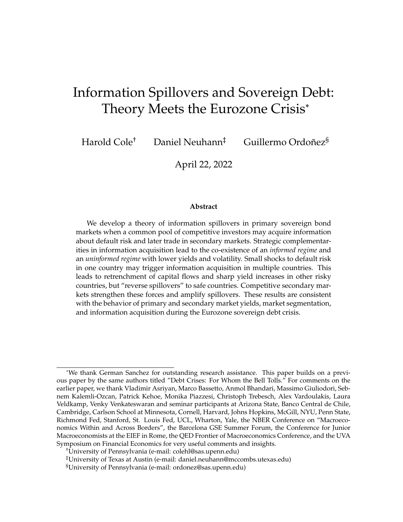spective of endogenous heterogeneous information and the interplay between primary and secondary markets. The most common view relies on real linkages, such as trade in goods or correlated shocks, that may transmit negative shocks from one country to the next. However, it is often difficult to empirically identify linkages that are powerful enough to induce the observed degree of spillovers. This led to a new set of explanations that rely on self-fulfilling debt crises either through feedback effects as in Calvo (1988) and Lorenzoni and Werning (2013) or rollover problems, as in Cole and Kehoe (2000), Aguiar et al. (2015), and Bocola and Dovis (2015). We explore here a different form of spillovers, which stem not from country fundamentals (the supply side) but rather from the investment decisions of a common pool of investors (the demand side).

Previous work has explored demand side spillovers based on changes in risk aversion (Lizarazo (2013) and Arellano, Bai, and Lizarazo (2017)), wealth (Kyle and Xiong (2001) or Goldstein and Pauzner (2004)), borrowing constraints (Yuan (2005)), short-selling constraints (Calvo and Mendoza (1999)), or exogenous private information in Walrasian markets (Kodres and Pritsker (2002)). Broner, Gelos, and Reinhart (2004) provide empirical evidence of the importance of portfolio effects for spillovers. This work is based on a common pool of investors in secondary markets. Our innovation is introducing a rich dual market structure that is explicit about the auction protocol used in primary markets and its implications for information acquisition and information-based contagion.Closer to our insight, Van Nieuwerburgh and Veldkamp (2009) use a model of information acquisition to study home bias and segmentation in financial markets. They consider competitive secondary markets and find that information acquisition is a strategic substitute. In our model, the auction protocol generates a strategic complementarity that leads to equilibrium multiplicity and contagion of information regimes.

Other work has studied the interaction of primary and secondary markets, but found that secondary markets increase primary market prices, either through incentives to signal private information (Bukchandani and Huang (1989)), or by providing commitment against default on foreign creditors (Broner, Martin, and Ventura (2010)). We find that secondary markets may contribute to lower prices at auction through endogenous information acquisition; we provide evidence of this effect by measuring the primary-secondary market spread.

Our work provides a theoretical underpinning to the "wake-up call" literature.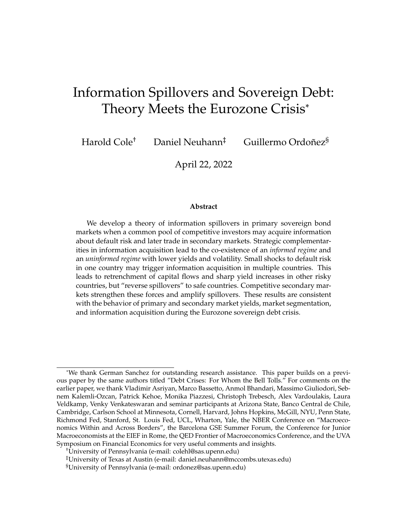This idea was first suggested by Goldstein (1998) to explain contagion from Thailand (a relatively small and closed economy) to other Asian countries that shared the same economic weaknesses but were ignored by investors until the Thai "wake-up call" in 1997. This form of contagion, consistent with rational inattention, has found strong empirical support in Giordano, Pericolli, and Tommasino (2013), Bahaj (2020) and Moretti (2021) for the Eurozone crisis and in Mondria and Quintana-Domeque (2013) for the Asian crisis. These papers use a narrative approach based on news events to isolate changes in sovereign risk that are orthogonal to the economy's fundamentals, and do not find evidence of fundamental linkages that can explain the co-movement of sovereign yields across periphery countries. Ahnert and Bertsch (2020) provide a global-games rational of the wake-up call hypothesis for currency crises or bank runs, in which investors move sequentially in secondary markets and become informed about the countries' fundamental linkages. There is no portfolio choice or prices in their model, so their main focus is on contagion of default itself. Our focus is on price spillovers in primary markets.

Our model can be used to study information acquisition because we circumvent some of the standard challenges that arise when solving for equilibrium prices in multi-unit auction models.<sup>3</sup> This is because of three key characteristics: (i) the good being auctioned is perfectly divisible, (ii) the number of risk averse bidders is large, and (iii) there is uncertainty about the good quality. Given these three characteristics, the price-quantity strategic aspects of standard auction theory become less relevant, and a price-taking, or Walrasian, analysis emerges as a good approximation.<sup>4</sup>

Considering risk-averse investors is important for the interpretation of the shading factor in bids (as argued by Wilson (1979)) and it is critical for thinking about the reaction of bond prices to shocks during periods with high volatility. Previous literature on auctions with risk averse bidders primarily focuses on risk aversion with respect to winning the auction (rather than *ex post* risk in the objects for sale). An important exception is Esö and White (2004) who consider an auction with a single risky good with independent ex-ante signals and ex-post risk to bidders' valuations.

 $3$ The main challenge is solving an equilibrium that involves bidders with a double dimensional strategic problem: choosing both bid quantities and bid prices. See Wilson (1979), Engelbrecht-Wiggans and Kahn (1998), Perry and Reny (1999), Kagel and Levin (2001) and McAdams (2006).

 $4$ Recent auction literature shows that price-taking arises as the number of bidders get large. A recent example is Fudenberg, Mobius, and Szeidl (2007), who show that the equilibria of large double auctions with correlated private values are essentially fully revealing and approximate price-taking behavior when the number of risk neutral bidders goes to infinity. Another is Reny and Perry (2006) who show a similar result when bidders have affiliated values and prices are on a fine grid.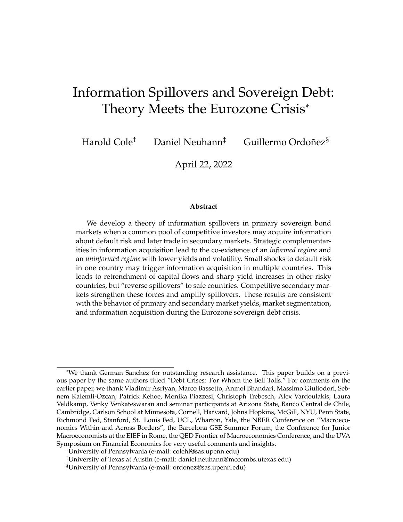They find that risk aversion reduces bids and that prices fall by more than the "fair" risk premium. Our work consider a multi-unit auction with ex-post risky objects where there is (correlated) asymmetric information about default risk and marginal valuations depend on quantities purchased.

Recent work tackles these challenges from an empirical perspective. Hortacsu and McAdams (2010) develop a model based on Wilson (1979)'s model of a multi-unit discriminatory price auction with a finite set of potential risk-neutral bidders with symmetric and independent private values. Instead of computing the market clearing price analytically, they use a re-sampling technique to construct a non-parametric estimator of bidder valuations and apply it to data from Turkish treasury auctions.<sup>5</sup>

We share with Milgrom (1981) the strategy of exploiting the structure of an auction to provide an account of price formation and endogenous information acquisition even when prices are fully revealing ex post. He considers, however, a single auction in which bidders are restricted in the units they can buy. We study flexible bidding strategies and cross-auction linkages.

The model in this paper complements Cole, Neuhann, and Ordoñez (2020), which studies a single-country model with a fixed information environment and provides evidence for asymmetric information about default risk in Mexican sovereign bond auctions.<sup>6</sup> In this paper, we allow for endogenous information acquisition and use a multi-country model with cross-auction linkages. This allows for endogenous changes in information regimes in response to fundamental shocks as well as informationbased spillovers. Both features are crucial for this paper's application to the Eurozone crisis. While Cole, Neuhann, and Ordoñez (2020) exploit detailed bidding information in Mexico to assess the extent and nature of asymmetric information among investors, here we exploit primary and secondary market prices in Portugal, Italy and Germany to assess spillovers and segmentation effects during the Eurozone crisis.

The paper proceeds as follows. The next section describes our model of primary and secondary sovereign debt markets in two countries with a common pool of investors. Section 3 characterizes the equilibrium without secondary markets and

 $5$ Kastl (2011) extended Wilson model, which is based on continuous and differentiable functions, to more realistic discrete-step functions, showing that in such case only upper and lower bounds on private valuations can be identified, which he does by exploiting the previously discussed resampling method on Czech bills auctions.

 $6Cole$ , Neuhann, and Ordoñez (2021) uses additional data from Mexico to show that asymmetric information may support bond prices in particularly bad times.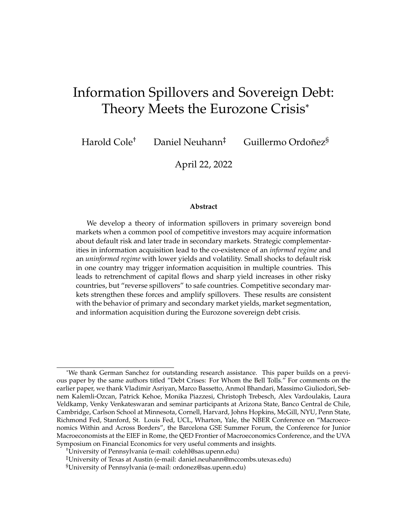describes the sources of information multiplicity in each country and the effects on informational spillovers. Section 6 studies the role of secondary markets on bond yields, information acquisition, and spillovers. Section 7 applies these results to the experiences of Portugal, Italy and Germany during the Eurozone crisis. Section 8 concludes.

### **2 Model**

We study a economy with a single numeraire good, a measure one of ex-ante identical risk-averse investors with fixed per-capita wealth  $W$  and two countries, indexed by  $j \nvert 2 \nvert \nvert 1, 2g$ . There is a single period with two dates. At the first date, country  $j$ 's government needs to raise fixed revenue  $D_i$  0 by auctioning sovereign bonds in the primary market. After the auction, investors can trade bonds in a competitive secondary market.

Bonds are zero-coupon and promise a unit payoff at date 2. Bonds are risky because they pay off only if the government does not default. In a default, the recovery rate is zero. Default is summarized by  $\delta_i$  2 f0, 1g, where  $\delta_i$  = 1 denotes default and  $\delta_j = 0$  denotes repayment, and  $\vec{\delta} = [\delta_1, \delta_2]$ .

Because we are interested in demand sided determinants of bond prices, we assume that default decisions follow an exogenous stochastic process. Specifically, country j's default probability  $\kappa_i(\theta_i) = Pr \delta_i = 1/\theta_i g$  is a random variable that depends only on the realization of a country-specific fundamental  $\theta_i$  2 fb, gg. We let  $\kappa_i(g) < \kappa_i(b)$  and denote the probability of state  $\theta_i$  by  $f_i(\theta_i)$ . Hence the unconditional default probability is

$$
\kappa_j = f_j(b)\kappa_j(b) + f_j(g)\kappa_j(g).
$$

To focus on information-based contagion rather than real linkages, we assume that  $\theta_i$ is independently distributed across countries and we define  $\vec{\theta}$  [ $\theta_1, \theta_2$ ]. Fluctuations in  $\theta$  reflect variation in *private* information, while changes in  $[\kappa_i(g), \kappa_i(b)]$  or their probabilities, reflect variation in *public* information. This distinction will be illustrated further in our discussion of the Eurozone crisis.

Investors have preferences over consumption at date 2 that are represented by a strictly concave utility function  $u$  that is twice continuously differentiable, satisfies the Inada conditions and features weakly decreasing absolute risk aversion (standard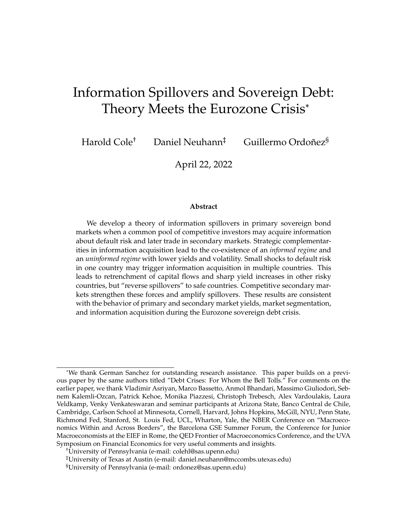CRRA preferences have these properties). Investors can invest in government bonds or a risk-free asset whose net return is normalized to zero. There is no borrowing and no short-selling: investors cannot submit negative bids at auction, and can sell no more than the bonds acquired at auction when trading in the secondary market.

**Information structure.** Investors are born with the same common prior about the state of the world in each country. Before bidding for bonds in primary markets, investors can acquire information (learn the realization of  $\theta_1$  and/or  $\theta_2$ ) by paying a utility cost. We denote the decision to acquire information in country j by  $a_i \nightharpoonup \mathcal{D}$ , 1g. The associated cost is  $C(a_1, a_2)$  0 and is weakly increasing in each argument.

The information acquisition decision defines the investor's *type*, which we index by  $i \geq f(a_1, a_2)$ :  $a_1 \geq f(0, 1g, a_2 \geq f(0, 1gg. 1gg. 1gg. 1gg. 1gg. 1gg. 1gg.$  Since investors are identical conditional on their information set, we study a representative investor of each type. The mass of type i (i.e. the share of investors that acquire information in the manner associated with type *i*) is  $n^i \geq [0, 1]$ , with  $\sum_i n^i = 1$ .

To transparently characterize portfolios and spillovers, we assume that markets are partially segmented in the sense that each investor is split into two traders at time zero. Each trader is tasked with trading and possibly acquiring information in one specific country, but traders cannot share information. This ensures that bids in country *j* are not contingent on the *realization* of  $\theta$  <sub>*j*</sub>. However, they will be contingent on the information acquisition *strategy* in  $j$ . This reduces the number of equilibrium prices from 16 to 8 without affecting the basic mechanisms.<sup>7</sup>

**Primary market.** Governments sell bonds using discriminatory multi-unit auctions. Investors can submit multiple bids, each of which represent a commitment to purchase a non-negative number of bonds at a particular price should the government decide to execute the bid. The government treats each bid independently, sorts all bids from the highest to the lowest bid price, and executes all bids at the bid price in descending order of prices until it generates revenue  $D_j$ . Since there is a fixed revenue target, the total number of bonds sold is an equilibrium object. The *marginal price* is the lowest accepted price for a given  $\theta_j$ , and we denote it by  $P_j(\theta_j)$ .

Since bonds pay off at least zero and at most one unit of the numeraire, the range of prices is [0, 1]. A *bidding strategy* maps any price in [0, 1] into a weakly positive

 $7$ Carlos Garriga interpreted our investor split into two traders as a financial intermediary with separate divisions investing in each country and only periodically rebalancing portfolios and exchanging information.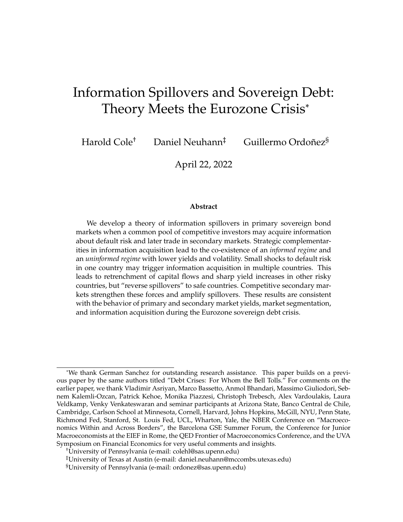bid quantity. Since investors have rational expectations with respect to the set of possible marginal prices, it is without loss of generality to restrict attention to bidding strategies that assign zero bids to any price that is not marginal in some state of the world.  $8$  Since marginal prices are indexed by the underlying state, it is without loss to directly define bidding strategies as functions of the underlying states. That is, if  $B_j^{\ell}(P)$  is a bidding function mapping prices into quantities, we can define another bidding function  $B_i(\theta_i)$  $\langle P(\theta_j)$  that maps  $\theta_j$  into quantities associated with the marginal price in  $\theta_j$ . This makes plain that investors ultimately must decide how much to bid at the lowest-accepted price associated with each possible realization of the bond's common value.

Defining bidding strategies in this way does *not* imply that bids themselves can be made in a state-contingent manner. In particular, an uninformed investors must choose bids at the marginal prices associated with all possible states without knowing which state has been realized ex post. To capture this notion, it is useful to define sets of executed states  $E^i_j(\theta_j)$  which are used to collect all bids by an investor of type  $i$ that are executed in country  $j$  when the state is  $\theta_j$ . Since each bid is associated with a state-specific marginal price, the elements of these sets are states of the world. For informed investors, the set includes only the realized state. For uninformed investors, the executed bid set includes the realized state and all states with marginal prices above the realized marginal price. That is,

$$
E_j^i(\theta_j) = \begin{cases} \n\text{f} \theta_j g & \text{if } i \text{ is informed in } j \\ \n\text{f} \theta_j^{\theta} : P_j(\theta_j^{\theta}) & P_j(\theta_j) g & \text{if } i \text{ is uninformed in } j. \n\end{cases}
$$

Since the marginal price is realized only after bids have been submitted, we must distinguish between the bids made and the quantity of bonds acquired by the investor in a given state of the world. Let  $B_j^i(\theta_j)$  and  $B_j^i(\theta_j)$  denote the bids and the *realized* quantity of country-j bonds acquired by investor i in state  $\theta_j$ , respectively. Because

 $8E$ xcess demand at the marginal price is rationed pro-rata, but rationing does not occur in equilibrium. An investor can avoid rationing by offering an infinitesimally higher price, something the uninformed investors would strictly prefer when bidding at the higher price. Even if this were not an issue, for any equilibrium with rationing there is an equivalent equilibrium in which bidders scale down their bids by the rationing factor so long as the marginal prices are distinct, which they are here.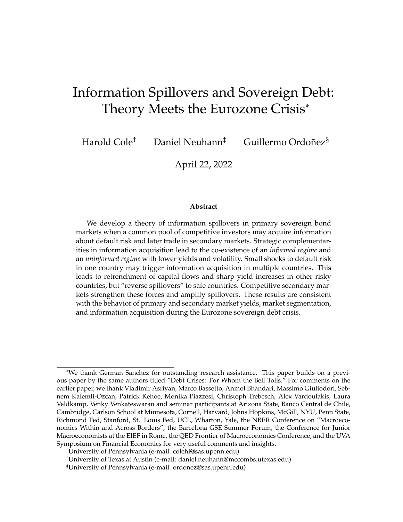only informed investors can submit state-contingent bids, we have

$$
B_j^i(\theta_j) = \begin{cases} B_j^i(\theta_j) & \text{if } i \text{ is informed in } j\\ \sum_{j \in \mathcal{I}_{j}(\mathcal{J})} B_j^i(\theta_j^j) & \text{if } i \text{ is uninformed in } j. \end{cases}
$$

Thus investor  $i'$ s total expenditure on bonds in country  $j$  and state  $\theta_j$  is

$$
X_j^i(\theta_j) = \begin{cases} P_j(\theta_j) B_j^i(\theta_j) & \text{if } i \text{ is informed in } j \\ \sum_{j \in \mathbb{Z}_j^i(-j)} P_j(\theta^j) B_j^i(\theta^j) & \text{if } i \text{ is uninformed in } j. \end{cases}
$$

The market-clearing condition in country  $j$  and state  $\theta_j$  is

$$
\sum_{j} n^{j} X_{j}^{j}(\theta_{j}) = D_{j}.
$$
 (1)

and investment in the risk-free asset after the auction close satisfies

$$
w^{i}(\vec{\theta}) = W \sum_{j} X_{j}^{i}(\theta_{j}) \text{ for all } \vec{\theta}.
$$

**Secondary market.** The secondary market opens once the primary market closes, and auction outcomes are public knowledge prior to secondary market trading. Hence the secondary market operates under symmetric information. (If there are informed investors in the primary market, auction prices are fully revealing of the state ex-post; if no investor is informed, auction prices also do not reveal information.)

We denote with hats secondary market counterparts of primary market variable. Quantities are  $\hat{B}_j^l(\theta_j)$  and market-clearing prices are  $\hat{P}_j(\theta_j)$ . Investors can sell no more than the total quantity of bonds acquired at auction,  $\hat{B}_j^i(\theta_j)$   $B_j^i(\theta_j)$ . Secondary market expenditures are  $\hat{X}_j^i(\theta_j) = \hat{P}_j(\theta_j) \hat{B}_j^i(\theta_j)$  and secondary market clearing requires

$$
\sum_{i} n^{i} \widehat{B}_{j}^{i}(\theta_{j}) = 0. \tag{2}
$$

The final number of bonds held by the investor for each  $j$  and  $\theta_j$  is

$$
\widehat{B}_j^i(\theta_j) = B_j^i(\theta_j) + \widehat{B}_j^i(\theta_j)
$$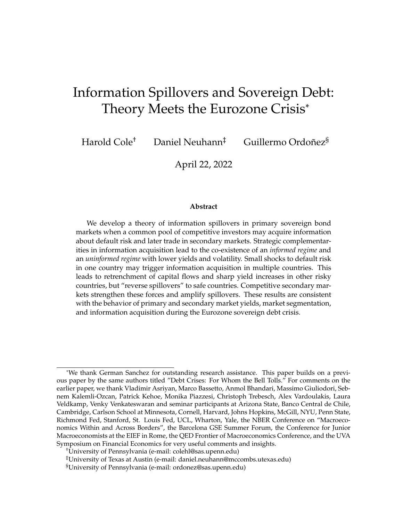while total holdings of the risk-free asset at secondary market close are given by

$$
\widehat{w}^i(\vec{\theta}) = w^i(\vec{\theta}) \sum_j \widehat{X}_j^i(\theta_j)
$$
 for all  $\vec{\theta}$ .

**Decision problems.** Investors face two sequential decision problems. The first is the choice of an information acquisition strategy  $fa_1, a_2g$ . The second is a portfolio choice problem whereby each type chooses a bidding strategy  $S<sup>i</sup>$  to maximize expected utility derived from second-period consumption. The bidding strategy is a tuple of primary and secondary market bids for each  $j$  and  $\theta_j$ ,

$$
S^{i} \left\{ \left\{ B_{j}^{i}(\theta_{j}), \widehat{B}_{j}^{i}(\theta_{j}) \right\}_{j \geq f g; bg} \right\}_{j \geq f1,2g}
$$

The resulting consumption profile given some realization of the states of the world and default decisions in each country is

$$
c^i(\vec{\theta}, \vec{\delta}, S^i) = \widehat{w}^i(\vec{\theta}) + (1 - \delta_1) \widehat{B}_1^i(\theta_1) + (1 - \delta_2) \widehat{B}_2^i(\theta_2) \quad \text{for all } \vec{\theta} \text{ and } \vec{\delta}.
$$

Let  $E^i$  denote the type-specific expectation operator that takes into account the information acquired by the investor. Then the portfolio choice problem is

**Definition 1** (Portfolio choice problem)**.** *Type* i*'s portfolio choice problem is*

$$
V^{i} = \max_{S^{i}} E^{i} \left[ u(c^{i}(\vec{\theta}, \vec{\delta}, S^{i})) \right]
$$
  
s.t.  $B^{i}_{j}(\theta_{j})$  0 and  $\hat{B}^{i}_{j}(\theta_{j})$   $B^{i}_{j}(\theta_{j})$  for all j and  $\theta_{j}$   
 $w^{i}(\vec{\theta})$  0 and  $\hat{w}^{i}(\vec{\theta})$  0 for all  $\vec{\theta}$ .

The first pair of constraints ensures that bids are non-negative at auction and that there is no short-selling in the secondary market. The second pair of constraints ensures that investors do not borrow at any date. Given a solution to the portfolio choice problem for every investor type, we can define the information acquisition problem.

**Definition 2** (Information acquisition problem). Let  $\iota(a_1, a_2)$  denote the type induced by  $fa_1, a_2$ g. Then the information acquisition problem is

$$
\max_{fa_1, a_2g} V^{(a_1, a_2)} \quad C(a_1, a_2).
$$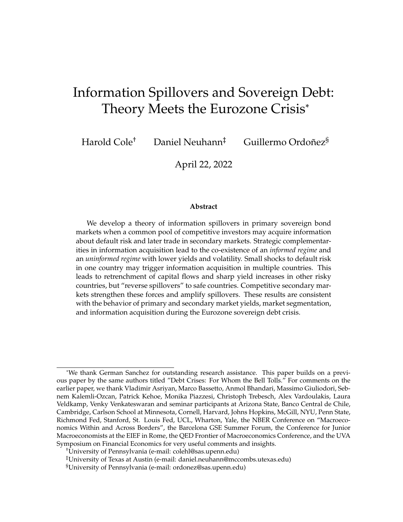**Equilibrium definition.** An equilibrium combines market clearing at auction and in the secondary market with solutions to investors' decision problems.

**Definition 3** (Equilibrium). An equilibrium consists of pricing functions  $P_j$  :  $\tau b$ , gg !  $[0, 1]$  and  $P_j$ :  $\tau b$ ,  $gg$  !  $[0, 1]$  *for each* j, an information acquisition strategy  $\tau a_1$ ,  $a_2g$  *for* each investor, and bidding strategies  $S^{(a_1;a_2)}$  for all  $fa_i, a_2g$  on the path of play such that: (i)  $S^{(a_i; a_2)}$  solves type  $\iota(a_1, a_2)$ 's portfolio choice problem, (ii)  $fa_1, a_2g$  solves the information *acquisition problem for each investor, and (iii) market-clearing conditions* (1) *and* (2) *hold.*

Throughout the paper we use numerical examples to illustrate the key economic mechanisms. Unless stated otherwise, we will use the following parameters.

**Definition 4** (Baseline Parameters for Numerical Examples)**.** *Utility is* U( ) = log( )*. Countries are ex-ante symmetric.* Wealth is  $W = 800$  and outstanding debt is  $D_i = 300$ . *Default probabilities satisfy*  $\kappa_i(g) = 0.1$ ,  $\kappa_i(b) = 0.35$ , and  $f_i(g) = 0.6$ *. Hence*  $\kappa_i = 0.2$ *.* 

In the following, we first characterize equilibrium without secondary markets. This allows us to precisely characterize optimal bids at auction, and provides a benchmark to evaluate the effects of secondary market trading. The equilibrium definition is Definition 3, augmented with the requirement that all secondary market quantities are zero. We turn to the effects of secondary markets in Section 6.

### **3 Auction Equilibrium**

We begin by discussing optimal bidding strategies when there are no secondary markets. Formulating a bidding strategy requires forming expectations about the states of the world in which a given bid will be accepted. Hence we define *acceptance sets*  $A_j^i(\theta_j)$  that collect all states in which a bid in country j at some marginal price  $P_j(\theta_j)$ is accepted. For uninformed investors, the pay-your-bid protocol implies that a particular bid is accepted in all states with lower marginal prices; for informed investors a bid is accepted only in the state associated with the marginal price.<sup>9</sup> That is,

$$
A_j^i(\theta_j) = \begin{cases} \n\text{f} \theta_j \, g & \text{if } i \text{ is informed in } j \\ \n\text{f} \theta_j^{\theta} : P_j(\theta_j^{\theta}) & P_j(\theta_j) \, g & \text{if } i \text{ is uninformed in } j. \n\end{cases}
$$

 $9^9$ For uninformed investors, acceptance sets are complements of executed bid sets. The former collect all states with marginal prices that are *lower* than the bid price, the latter collect all states with *higher* marginal prices. The sets overlap at the true state.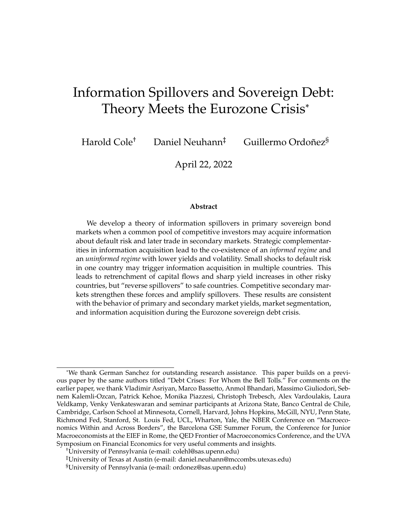This sets is a singleton for informed investors, but it may include multiple states when the investor is uninformed. This difference captures the winner's curse that bids at high prices (which are associated with low default risk) are also accepted when default risk is high.

Optimal bidding strategies trade off the expected marginal utility loss from default against the expected marginal benefit of the yield earned after repayment, averaged across the states of the world in which the bid is accepted. It is helpful to summarize investor i's expected marginal utility for bids in country j given state  $\theta_i$ and default decision  $\delta_i$  by

$$
m_j^i(\theta_j,\delta_j) = \mathsf{E}^i\bigg[u^{\ell}(c^i(\vec{\theta},\vec{\delta}))\bigg|\theta_j,\delta_j\bigg].
$$

Here the expectation is taken over states of the world and default decisions in country

j. Taking ratios of marginal utility given, default in j and repayment in j yields the relevant *marginal rate of substitution* (MRS) for evaluating bids at  $P_i(\theta_i)$ , which is

$$
M_j^{\prime}(\theta_j) = \frac{\sum_{j \in A_j^i(-j)} f_j(\theta_j^j) \kappa_j(\theta_j^j) m_j^j(\theta_j^{\theta}, 1)}{\sum_{j \in A_j^i(-j)} f_j(\theta_j^{\theta}) \left(1 - \kappa_j(\theta_j^{\theta})\right) m_j^{\prime}(\theta_j^{\theta}, 0)}.
$$

Given Inada conditions, borrowing constraints do not bind for any investor. The non-negativity constraint on bids may bind for some investors in some states of the world. In any equilibrium, the marginal rate of substitution must therefore be equal to bond yields only for the *marginal* investor. That is, if asterisks index the marginal investor, then bond prices satisfy

$$
\frac{1-P_j(\theta_j)}{P_j(\theta_j)}=M_j(\theta_j).
$$

The next proposition demonstrates that informed investors are always marginal investors, and hence marginal prices are state-contingent if and only if some investors acquire information. In contrast, the winner's curse may lead uninformed investors to stop bidding at high prices.

**Proposition 1** (Marginal Investor and Prices)**.** *Fixing information acquisition decisions, the following statements characterize equilibrium prices and bidding strategies:*

*(i) If there are no informed investors in* j *then there exists a single marginal price* P<sup>j</sup> *that is*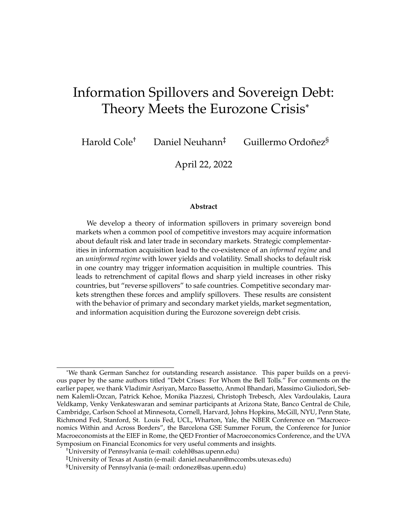*the same in all states* θ<sup>j</sup> *, and uninformed investors are marginal in every state. That is,*

$$
\frac{1-P_j}{P_j} = M_j^i(g) = M_j^i(b) \quad \text{for all } i.
$$

*(ii) If there are informed investors in* j*, then the marginal price is strictly higher in the good state than in the bad state,*  $P_j(g) > P_j(b)$ . While informed investors are marginal in *every state, uninformed investors may not submit any bids at the high price. That is, uninformed investor optimality conditions satisfy*

$$
M_j'(b) = \frac{1 - P_j(b)}{P_j(b)}
$$
 and 
$$
M_j'(g) = \frac{1 - P_j(g)}{P_j(g)}
$$
 for all *i* such that  $a_j' = 0$ ,

where the inequality is strict if and only if the short-sale constraint binds for  $B_{j}^{\mathrm{U}}(g).$ 

Optimal portfolios give rise to standard asset pricing relationships: marginal investors price bonds such that bond yields are equal to state-contingent marginal rates of substitution. If no investor acquires information, marginal rates of substitution are independent of the state and this relationship holds for all investors in every state. If some investors acquire information, only informed investors are marginal in every state, while uninformed investors instead may cease to bid at the high price in order to escape the winner's curse. However, uninformed investors are always at an interior optimum for bids at the low price because low bids are not subject to the winner's curse.

The following analytical example illustrates the way prices are determined by considering the special case where investors hold no bonds in Country 2. Asymmetric information introduces portfolio differences across informed and uninformed in *all* states even though the winner's curse only applies to bids at the high price. This is because such bids are accepted in all states, thereby altering marginal incentives to bid at the low price even when such bids are effectively state-contingent.

**Example 1.** Let  $D_2 = 0$ . For informed investors, the relevant MRS in state  $\theta_1$  is

$$
M_1^i(\theta_1)=\frac{\kappa_1(\theta_1)u^{\emptyset}\Big(W-P_1(\theta_1)B_1^i(\theta_1)\Big)}{(1-\kappa_1(\theta_1))u^{\emptyset}\Big(W+(1-P_1(\theta_1))B_1^i(\theta_1)\Big)}.
$$

*and is state-separable, i.e. it does not depend on bids at the other marginal price.*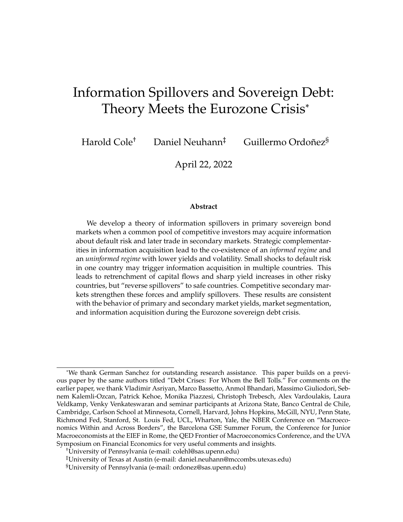*For uninformed investors,*  $i \geq U_1$ , the relevant MRS for bids at  $P_1(g)$  is

$$
f_1(g)\kappa_1(g)u^{\theta}\left(W - P_1(g)B_1^j(g)\right) + f_1(b)\kappa_1(b)u^{\theta}\left(W - P_1(g)B_1^j(g)\right) - P_1(b)B_1^j(b)\right) + f_1(g)(1 - \kappa_1(g))u^{\theta}\left(W + (1 - P_1(g))B_1^j(g)\right) + f_1(b)(1 - \kappa_1(b))u^{\theta}\left(W + (1 - P_1(g))B_1^j(g) + (1 - P_1(b))B_1^j(b)\right)
$$

and is not separable across states, while the relevant MRS for bids at  $P_1(b)$  is

$$
M_1^i(b) = \frac{\kappa_1(b)u^{\ell}(W - P_1(g)B_1^i(g)) - P_1(b)B_1^i(b))}{(1 - \kappa_1(b))u^{\ell}(W + (1 - P_1(g))B_1^i(g) + (1 - P_1(b))B_1^i(b))}
$$

and takes into account that uninformed bids at  $P_1(g)$  are also accepted in the bad state.

### **4 Within-Country Effects of Asymmetric Information**

We now characterize how asymmetric information affects portfolios and prices in a specific country (say Country 1). To isolate within-country effects, we assume that all investors are uninformed and hold a fixed portfolio of bonds in the other country (Country 2). Let superscripts I and U denote informed and uninformed investors in Country 1, respectively, and define  $P_1$  to be the equilibrium price that obtains in Country 1 when there are no informed investors in that Country 1. We index equilibrium outcomes by  $n_1$ , the share of informed investors in Country 1. The case with  $n_1 = 0$  is the *uninformed regime*, the one with  $n_1 > 0$  is the *informed regime*.

The next result characterizes the behavior of prices as a function of the share of informed investors.

**Proposition 2** (Portfolios and Price Dispersion). Assume there are  $n_1$  informed investors *in Country 1, and let all investors hold the same portfolio in country* 2*. Then in Country 1:*

- 1. The high-state marginal price  $P_1(g)$  is strictly increasing in the share of informed in*vestors in Country 1 and converges to the uninformed equilibrium price as*  $n_1$  ! 0.
- *2. The bad-state marginal price* P1(b) *is strictly lower than the uninformed equilibrium price*  $P_1$  *for all*  $n_1 > 0$  *and*  $\lim_{n_1 \to \infty} P_1(b) < P_1$ *.*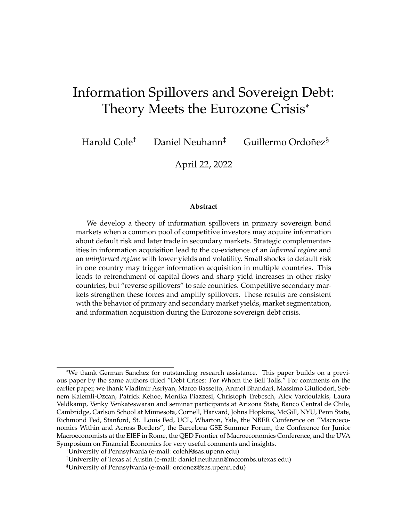Comparative statics of the high price are straightforward. Since informed investors do not face the winner's curse, they always spend more at high prices. Hence the high price monotonically increases in the share of informed investors. The comparative statics of the low marginal price with respect to  $n_1$  are driven by two competing effects. First, uninformed investors spend more on bonds in the bad state than informed investors because their bids at the high price are also executed in the bad state. Since the high price is increasing in  $n_1$ , uninformed expenditures are *increasing* in  $n_1$ , which puts upward pressure on the bad price. Conversely, informed investors spend less in the bad state which contributes to a decline in  $P_1(b)$ . The overall effect depends on number of uninformed bids submitted at the high price, which in turn responds endogenously to the extent of the winner's curse. As a result,  $P_1(b)$  may be non-monotonic in  $n_1$ .

Taken together, prices react more strongly to movements in default risk when there are more informed investors. This creates a susceptibility of prices to news that is absent in the uninformed regime. Moreover, state-contingent marginal prices do not converge to each other even when the share of informed investors is low. This is because all uninformed bids at the high price are accepted even when the state is low; thus market clearing only forces convergence of the high price to the uninformed price.

This has two important implications. The first is that a change in the information regime exposes the government to more downside risk. The other is that an informed investor's opportunities to exploit private information depend on whether there are other informed investors. When no investors is informed, prices are not state-contingent and the main advantage of being informed is the ability to adjust quantities. When some investors are informed, equilibrium prices are low in the bad state, which allows the investor to capture a risk premium at low prices while also avoiding the winner's curse. Thus, the presence of informed investors can create "better deals" that raise the value of being informed. We later show that this effect can lead to multiple equilibria.

Figure 1 illustrates these mechanisms using our numerical example. We hold prices and bids in Country 2 fixed at the level that would obtain in an equilibrium where there are no informed investors. We plot marginal prices and the *expected average price*  $E[P_1]$ . In the good state, all accepted bids are executed at  $P_1(g)$ . In the bad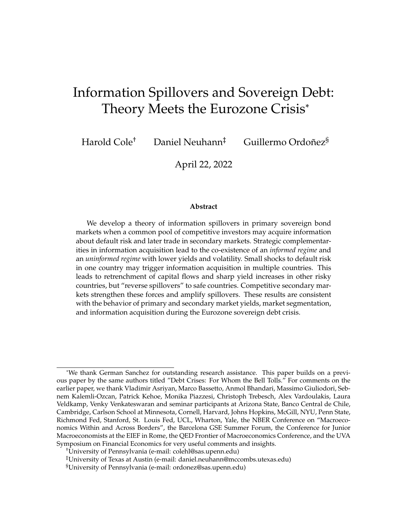state, some uninformed bids are executed at  $P_1(g)$  and the remainder at  $P_1(b)$ ,

$$
E[P_1] \t f_1(g)P_1(g) + f_1(b) \left( \frac{(1 \t n_1)B_1^U(g)P_1(g) + ((1 \t n)B_1^U(b) + n_1B_1^I(b)) P_1(b)}{(1 \t n) (B_1^U(g) + B_1^U(b)) + n_1B_1^I(b)} \right)
$$

The horizontal line shows the uninformed equilibrium price  $P_1$ . The marginal price  $P_1(g)$  is monotonically increasing in  $n_1$ , and converges to  $P_1$  as the share of informed investors approaches zero. In the given example,  $P_1(b)$  is strictly decreasing and ex-



Figure 1: Prices in Country 1 as a function of  $n_1$  given a fixed bond portfolio in Country 2.

pected average prices lies strictly below the uninformed equilibrium price unless the share of informed investors is very close to one. This is because the discount the government must offer to risk-averse investors in the bad state is greater than the premium it can charge in the good state. Moreover, price differences between states are sufficiently large such that uninformed investors withdraw from bidding at the high price very quickly. Our example provides further intuition.

**Example 1** (Continued)**.** *Let* u( ) = log( )*. In the uninformed regime with a unique* marginal price, uninformed demand is  $B_1^U = \frac{(1 - 1 - P_1)W}{P_1(1 - P_1)}$  $\frac{1}{P_1(1-P_1)}$  and the marginal price is such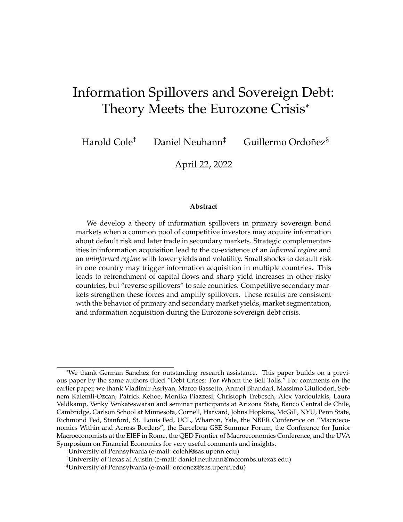that  $P_1B_1^U = D$ . Hence the uninformed equilibrium price is

$$
P_1 = 1 - \frac{\kappa_1 W}{W - D}.
$$

In the informed regime, informed investor demand is  $B'_1(\theta_1) = \frac{(1-(1)(1)P_1(-1))W}{P_1(-1)(1-P_1(-1))}$  and, by *market-clearing, prices in the limit with no information are given by*

$$
\lim_{n_1 \to 0} P_1(g) = P_1 \qquad \lim_{n_1 \to 0} P_1(b) = 1 \qquad \frac{\kappa_1(b)W}{W \quad D + \frac{1(b) - 1}{1 - 1}D}.
$$

*As* n ! 0 *the uninformed investor becomes the only type with positive mass and hence must just be indifferent as to bidding 0 at the low price* P(b) *given that it buys all of the government's bonds at the high price P(g).*

*In the full-information limit where*  $n_1$  *!* 1, *informed regime prices satisfy* 

$$
\lim_{n_1 \perp 1} P_1(g) = 1 \quad \frac{\kappa_1(g)W}{W \ D} \qquad \lim_{n_1 \perp 1} P_1(b) = 1 \quad \frac{\kappa_1(b)W}{W \ D}.
$$

*Hence offer a risk premium that depends on the level of debt relative to investor wealth. Moreover, price differences in the limit*  $n_1$  ! 0 *depend on the variance of default probabilities through*  $\kappa_1(b)$   $k_1$ .

We now study how the share of informed investors is determined. Since all investors are uninformed in Country 2, let  $K$   $C(1,0)$  denote the marginal cost of acquiring information in Country 1. Fixing Country 2 portfolios, the value of information in Country 1 is

$$
V(n_1) = V'(n_1) \t V^U(n_1).
$$

In the informed regime,  $V(n_1)$  is the *equilibrium* difference in expected utility obtained by informed and uninformed investors. In the uninformed regime,  $V^0$  denotes the *counterfactual* expected utility gain achieved by a single deviating investor who becomes informed when all other investors remain uninformed.

It is individually optimal to acquire information if the value of information exceeds its cost. Hence there exists an equilibrium without information acquisition if and only if  $V^0$  $K$ , and an equilibrium with information acquisition if and only if  $V(n_1)$  K for some  $n_1 > 0$ . Since all investors are ex-ante symmetric, an equilib-

rium with an interior share of informed investors must satisfy  $V(n_1) = K$ .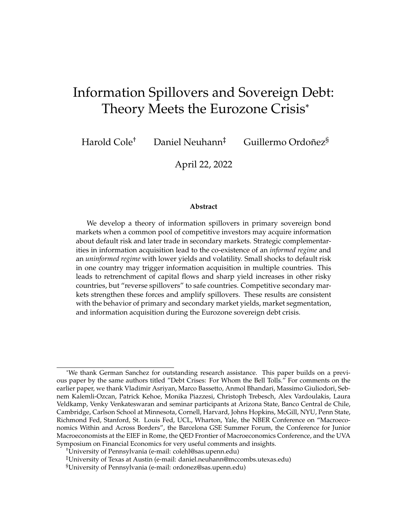The next result shows that information acquisition is a strategic complement if the share of informed investors is sufficiently small, and that the value of information is strictly higher than when there is a small strictly positive share of investors than when all investors are uninformed. This is because of the sharp difference in the low marginal price that is induced by a switch to the informed regime.<sup>10</sup> This allows for the co-existence of the informed and uninformed regime for appropriate information costs.

**Proposition 3** (Complementarity and Multiplicity)**.** *There exists a threshold share of informed investors*  $n_1 > 0$  *such that the value of information is strictly higher if*  $n_1 \geq 2$  $(0, n_1]$  *than if*  $n_1 = 0$ . The informed and uninformed regime co-exist if and only if K 2  $[V, \max_{n_1} V(n_1)]$ . The maximal share of informed investors is decreasing in K.

Our example allows us compute the value of information in closed form and provides intuition into how fundamental shocks can induce information acquisition.

**Example 1** (Continued)**.** *In the uninformed regime, uninformed investors' consumption is*  $(1 - \kappa_1)W/P_1$  after repayment and  $\kappa_1 W/(1 - P_1)$  after default. The counterfactual informed *investor's consumption is*  $(1 \kappa_1(\theta_1))W/P_1$  *after repayment and*  $\kappa_1(\theta_1)W/(1 \t P_1)$  *after default. Hence the value of information is*

$$
V = \sum_{1} f_1(\theta_1) \left[ \log(\kappa_1(\theta_1)^{-1(1)} (1 - \kappa_1(\theta_1))^{1-1(1)} \right] - \log(\kappa_1^{-1}(1 - \kappa_1)^{1-1}),
$$

*and is strictly positive and strictly increasing in a mean-preserving spread of default probabilities around*  $\kappa_1$  *by the the strict convexity of* log( $\kappa$   $(1 - \kappa)^1$  ) *on* (0, 1)*.* 

*Next consider the limit of the informed regime as*  $n_1$  ! 0*. Market clearing requires that uninformed investors continue to purchase essentially all bonds in all states. Since the high price converges to the uninformed price, they achieve the same utility as in the uniformed regime. This is not true for informed investors, who may submit bids at two distinct marginal prices. The resulting consumption profile in state*  $\theta_1$  *is*  $(1 - \kappa_1(\theta_1))W/P_1(\theta_1)$  *after repayment* 

 $10$ In Cole, Neuhann, and Ordoñez (2020) we augment the one-country auction model with a demand shock similar to Grossman and Stiglitz (1980), and show this smooths the discontinuity in the value of information at  $n = 0$  while preserving the strategic complementarity in information acquisition as well as the scope for equilibrium multiplicity.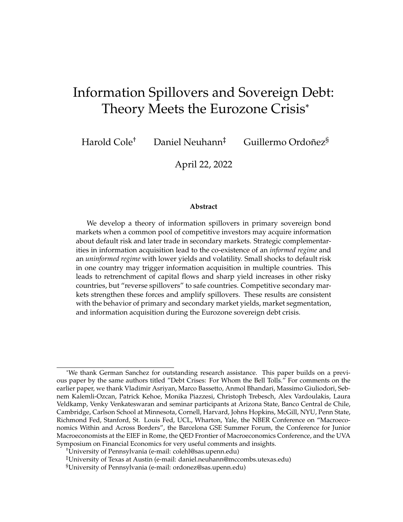*and*  $\kappa_1(\theta_1)W/(1 - P_1(\theta_1))$  *after default. Hence the value of information is* 

$$
\lim_{n_1 \to 0} V(n_1) = V(0) + f_1(b) \lim_{n_1 \to 0} \log \left( \frac{P_1}{P_1(b)} \right)^{1 - 1(b)} \left( \frac{1}{1 - P_1(b)} \right)^{-1(b)}.
$$

*It is easy to verify that the second term is strictly positive because*  $\lim_{n_1/0} P_1(b) < P_1$ .

The example highlights that fundamental volatility raises the value of information. This is because fundamental volatility creates volatility in optimal state-contingent bidding strategies. Since only informed investors can submit state-contingent bids, this raises the benefit of being informed. Below we use this observation to argue that (small) fundamental shocks can trigger switches in the information regime.

Figure 2 illustrates the proposition for the whole range of  $n_1$  using our baseline numerical example. We plot the value of information in the uninformed and informed regime, and parameters are as in Definition 4. The value of information jumps at  $n_1 = 0$  as the information regime switches from uninformed to informed. Within the informed regime, it is non-monotonic due to the interaction of two forces. On the one hand, an increase in  $n_1$  raises the price spread  $P_1(g)$   $P_1(b)$  and, thus, the severity of the winner's curse for the uninformed investor. This raises the value of information and leads to a strategic complementarity in information acquisition. On the other hand, an increase in  $n_1$  strengthens competition for good bonds among informed investors, dissipating rents on infra-marginal bond purchases. The first force dominates if  $n_1$  is small, and the second force dominates if  $n_1$  is large. This is due to a composition effect: the share of uninformed bids at the high price declines in  $n_1$ .

Figure 3 plots the value of information in the uninformed regime and in the informed regime in the limit  $n_1$  ! 0 as a function of the bad-state default probability  $\kappa_1(b)$ . An increase in  $\kappa_1(b)$  raises default risk and increases the variance of default risk across states. An equilibrium with information exists if the value of information exceeds its cost K for some value of  $n_1$ . The solid black lines show the value of information in both the informed and uninformed regimes. The regions in which an informed equilibrium exists thus expands as default risk rises. Hence shocks to fundamental risk can lead to more information acquisition.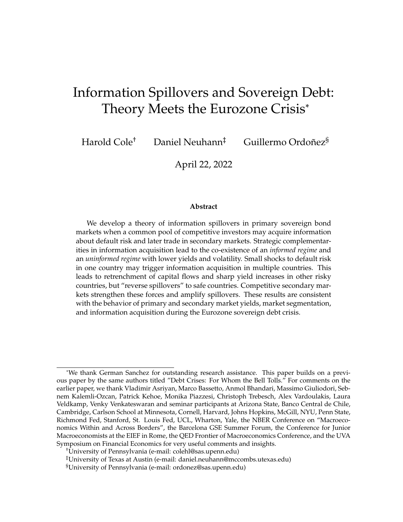

Figure 2: The value of information in Country 1 as a function of  $n_1$ .

### **5 Cross-Country Spillovers: Prices versus Portfolios**

We now characterize the scope for spillovers in our model. We first study the scope for spillovers when there is no asymmetric information. Similar to existing literature, we find that changes in risk appetite driven by fundamental shocks in one country can affect prices in the other country. However, all investors choose the same portfolios in all countries, and the direction of the spillover is negative no matter the fundamentals in either country. That is, there is insulation of portfolio composition from price changes, and there can be no "reverse" spillovers such as those observed between the core and periphery during the Eurozone. In the following sections, we show that information spillovers can generate such effects.

#### **5.1 Spillovers with symmetric information**

Under symmetric information, all investors are marginal and we can simplify notation by dropping superscripts indicating investors types. The *net marginal benefit* of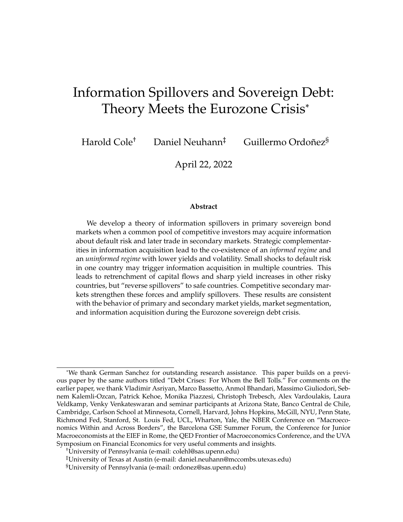

Figure 3: Information regimes in Country 1 given  $\kappa_1(b)$ .

investing in country  $j$  is

$$
F_j = \frac{1}{P_j} \quad M_j,\tag{3}
$$

The first term in  $F_j$  is the yield, the second is the relevant marginal rate of substitution. Equilibrium is such that  $F_j = 0$  for all j, and  $M_j = m_j(1) \kappa_j / m_j(0) (1 - \kappa_j)$ .

**Definition 5** (Default risk contagion)**.** *There is default risk contagion if the net benefit of investing in* j *decreases when country* j*'s default risk increases,* ∂Fj/∂κ <sup>j</sup> < 0*.*

**Proposition 4.** *With symmetric information, there is default risk contagion if and only if preferences satisfy decreasing absolute risk aversion. Default risk contagion has the same sign for any fundamentals, and all investors always hold identical portfolios.*

An increase in default risk places more weight on states with low consumption. Under DARA, this leads to an increase in average risk aversion and a higher required risk premium. This logic operates for any possible fundamentals. Absent asymmetric information, the model can thus just not generate the divergent paths of the core and periphery without relying on multiple shocks to fundamentals in both regions.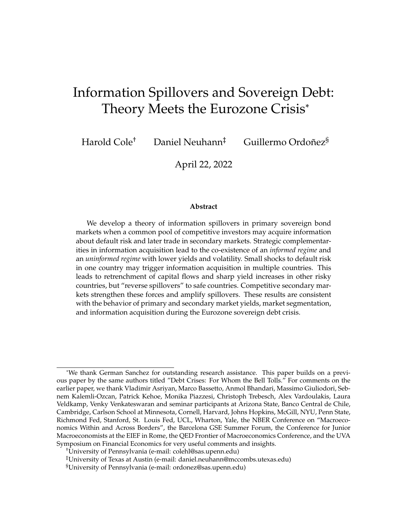Moreover, all investors hold the same portfolios. Hence the model cannot speak to the divergent paths of foreign investors holdings either.

**Remark 1.** *Without asymmetric information, the role of the auction protocol is essentially irrelevant for prices: there is a single marginal price across all states of the world. Given symmetric information, our model thus behaves similar to existing frameworks in which there is a global pool of investors trading in competitive markets. The results in this section highlight why such models cannot speak to the observed facts on portfolio segmentation among investors.*

#### **5.2 Spillovers through Asymmetric Information**

We now show that variation in the share of informed investors in one country affects prices and portfolios in both countries. We assume that no investor is informed in Country 2, but a fraction  $n_1$  is informed in Country 1. To highlight that this channel is independent of the risk-based mechanisms discussed in the previous proposition, we study a second-order approximation of the optimal portfolio problem. Specifically, we assume that the utility function satisfies constant relative risk aversion (CRRA) with risk-aversion coefficient  $\gamma$ , and approximate around zero bond holdings. We recover optimal portfolios that are functions of the mean return and return volatility of bonds at a given marginal price only. We find that informed investors hold disproportionately more bonds in Country 1, while uninformed investors spend more in Country 2. We then show that this leads to higher incentives to acquire information in Country 2 as well.

We simplify notation by using  $I$  to index investors with information in Country 1, and  $U$  to index investors without any information. The realized rate of a return on a country-j bond bought in state  $\theta_j$  at price  $P_j(\theta_j)$  given default decision  $\delta_j$  is  $R_j(\theta_j, \delta_j) = \frac{1 - j P_j(\theta_j)}{P_j(\theta_j)}$ . We define  $\widehat{R}_j'(\theta_j)$   $\in [R_j(\theta_j, \delta_j)/F^j]$  and  $\widehat{\sigma}_j'(\theta_j)$   $\sqrt{\sqrt{1} [R_j(\theta_j, \delta_j)]}$ to be the expected return and standard deviation of a Country- $j$  bond purchased at marginal price  $P_i(\theta_i)$  given i's information set. These may differ across differentially informed investors. The associated Sharpe ratio is

$$
S_j^i(\theta_j) = \frac{\widehat{R}_j^i(\theta_j)}{\widehat{\sigma}_j^i(\theta_j)}.
$$

It is immediate that uninformed investors expect a lower Sharpe ratio when bidding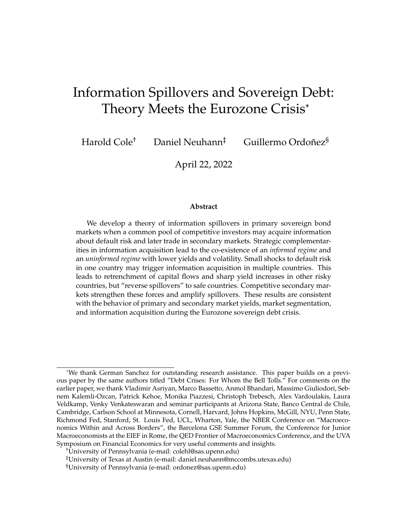at the high price as long as expected default probabilities are below 50%. This is because uninformed bids at the high price are also accepted in the bad state, which implies that bonds bought at this price have higher expected default risk than those bought by informed investors at the same price. (We restrict attention to default risk below 50% because the variance is otherwise decreasing in  $\kappa_j$ .)

**Lemma 1.** *Let*  $\kappa_1 < \frac{1}{2}$  $\frac{1}{2}$ *. For*  $\theta_1 = g$ *,*  $S_1^1(\theta_1) > S_1^U(\theta_1)$  and  $\frac{\mathscr{E}(S_1^1(\tau), S_1^U(\tau))}{\mathscr{E}_{1}(g)} < 0$ *.* 

We denote portfolio shares scaled by the coefficient of risk aversion by

$$
\omega_j'(\theta_j) \quad \frac{\gamma P_j(\theta_j) B_j'(\theta_j)}{W}.
$$

To simplify notation, let  $s_j^i(\theta_j) = \frac{S_j^i(j)^2}{1+S^i(j)^2}$  $\frac{\partial^2 j}{\partial x^2}$  denote a scaled version of the state-contingent Sharpe ratio and  $s_j^i = \sum_j f_j(\theta_j)s_j^i(\theta_j)$  its expectation over states for country  $j.$  Given that investors are ex-ante symmetric, we define *market segmentation* as the difference in equilibrium portfolio weights. The next result formally characterizes optimal portfolios.

**Proposition 5** (Segmentation)**.** *Up to second order, investor* i*'s optimal portfolio satisfies*

$$
\omega_1^j(g) = \frac{s_1^j(g)}{\widehat{R}_1^j(g)} \left( \frac{1}{1} - \frac{s_2^j}{s_1^j s_2^j} \right), \qquad \omega_1^j(b) = \frac{s_1^j(b)}{\widehat{R}_1^j(b)} \left( \frac{1}{1} - \frac{s_2^j}{s_1^j s_2^j} \right), \quad \text{and} \quad \omega_2^j = \frac{s_2^j}{\widehat{R}_2^j} \left( \frac{1}{1} - \frac{s_1^j}{s_1^j s_2^j} \right).
$$

*If*  $\kappa_1 < \frac{1}{2}$  $\frac{1}{2}$ , then portfolios display segmentation:  $\omega_1^U(g)<\omega_1^I(g)$ ,  $\omega_2^U>\omega_2^I$  and  $\frac{\phi(I_2^U-I_2^L)}{\phi P_1(g)}< 0.$ 

Given an information set and the associated Sharpe ratios, portfolios address standard risk and return trade-offs: bond purchases are increasing in Sharpe ratios, and portfolio weights are determined by relative Sharpe ratios. Asymmetric information leads to market segmentation, with informed investors buying primarily in Country 1 while uninformed investors retreat to Country 2.

Segmentation worsens as more investors become informed in Country 1. This is the high price increases in Country 1, which creates a bigger gap in the Sharpe ratios perceived by informed relative to uninformed investors. Since information acquisition is a strategic complement, there may thus be sudden and sharp increases in the extent of market segmentation.

Figure 4 illustrates this result using the baseline numerical example from Definition 4. As the share of informed investors in Country 1,  $n_1$ , increases, informed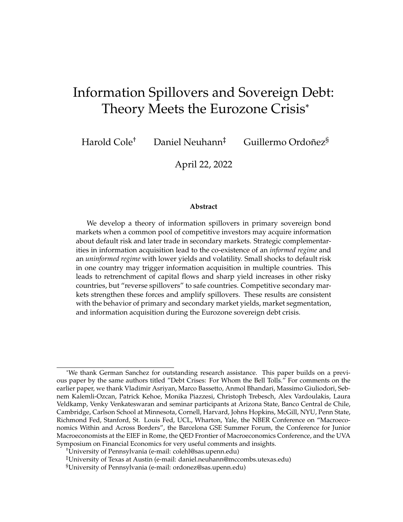investors invest less in Country 2 and more in Country 1 in order to exploit their information advantage. Uninformed investors, instead, withdraw from Country 1 due to adverse selection and invest more in Country 2. Informed investor expenditures in Country 1 are decreasing in  $n_1$  because there is more competition for information rents as the share of informed investors increases. This reduces the profitability of investing in Country 1.



Figure 4: Effects of  $n_1$  on portfolio shares across countries and investors.

Figure 5: Portfolio shares are defined as the ratio of expenditures in each country over wealth W. Since Country 1 portfolios are stochastic, we plot the cross-state average. Solid lines depict benchmark expenditure shares  $D/W$  that obtain in either the uninformed regime ( $n_1 = 0$ ) or the informed regime where all investors are informed in Country  $1(n_1 = 1)$ .

Since default risk is independent, segmentation leads to inefficient diversification. Figure 6 shows that this leads to lower prices (higher risk premia) in both countries. Despite that no investor acquires information in Country 2, that country's bond price is lower than in the uninformed regime.

Portfolio concentration raises the incentives to acquire information. To show this effect, we begin with our baseline model where there are  $n_1$  informed investors in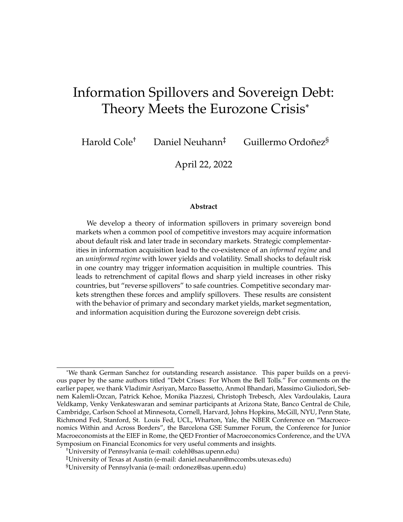

Figure 6: Prices in informed equilibrium as a function of  $n_1$ .

Country 1 and no informed investors in Country 2. We then compute incentives to become informed in Country 2. Given that there is asymmetric information in Country 1, we compute this value both for an investor who is informed in Country 1 (denoted by  $\sqrt{\frac{Vf(1)g(n_1)}{V}}$  and one who is uninformed in Country 1 (denoted by  $\wedge^{\wedge} V^{f0,1g}(n_1)$ ). Figure 7 plots these two functions in black. The gray lines show the value of information in Country 1 that are familiar from Figure 2.

The incentive to acquire information in Country 2 is always strictly higher when there is some information in Country 1, and the additional incentive to become informed in a second country is smaller than the incentive to become informed in a first country. The intuition is that a country without informed investors becomes a "safe haven" where uninformed investors do not face adverse selection. Thus information acquisition in Country 1 leads to a migration of uninformed capital to Country 2. Since Country 2 now represents a higher share of uninformed investors' portfolio, they have a stronger incentives to acquire information in the "safe haven". The existence of informed investors thus begets further information acquisition, creating a novel channel of contagion through spillovers in the informational regime. We show that this effect can help rationalize key facts from the Eurozone crisis.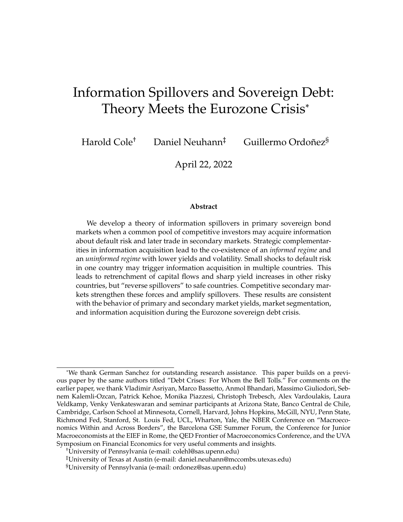

Figure 7: Value of Information as a function of  $n_1$ .

### **6 Effects of Secondary Markets**

Most sovereign bonds can be readily traded in secondary markets once the auction closes. Since auction prices and allocations are disclosed at the end of the auction, all private information impounded into bids is revealed prior to the secondary market. Hence secondary markets take place under symmetric information, and the only motive for trade is reallocating differential risk exposure acquired at auction.

In our setting, this implies that secondary markets only play a role if there is asymmetric information: when no investor acquires information prior to the auction, the information environment is the same in both markets, and prices and allocations remain unchanged relative to the pure auction without an aftermarket.

More interesting is the case with asymmetric information. Here, the ability to retrade bonds affords opportunities to flexibly exploit an information advantage at the auction. This is because informed investors are willing to buy more "underpriced" bonds at auction if they don't have to hold the default risk to maturity. The natural counterparties to these transactions are uninformed investors, who are willing to pay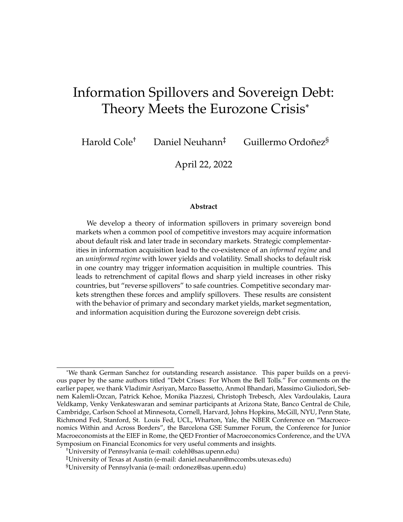a markup in the secondary market to avoid the winner's curse at auction. This allows for pure arbitrage profits that raise the value of information.

The two key features of our model that give rise to this mechanism are risk aversion, which imposes a cost to holding large concentrated positions in the bond, and and the multi-unit protocol, which allows bidders to adjust the intensive margin. However, arbitrage profits obtain only if there are not too many informed investors. The critical threshold is

$$
\hat{n}_j = \frac{D_j}{W - D_j},
$$

which is the share of informed investors beyond which informed investors are able to buy entire stock of debt outright.

**Proposition 6.** Let  $n_i > 0$ . Then the equilibrium with secondary markets satisfies:

- (i) If and only if  $n_j < \hat{n}_j$ , informed investors earn strict arbitrage profits in the high state *by buying low at the auction and selling high in the secondary market. That is,*  $P_i(g)$  <  $\hat{P}_j(g)$  if and only if  $n_j < n_j$ . This arbitrage persists in the limit with no informed *investors,*  $\lim_{n_1}$ ! 0  $P_j(g) < \lim_{n_1}$ ! 0  $\hat{P}_j(\theta_j)$ *.*
- *(ii)* There are no arbitrage profits in the low state,  $P_j(b) = \hat{P}_j(b)$  for any  $n_j$ . This is because *there is no winner's curse when bidding at low prices.*
- *(iii)* The value of information is zero if and only if  $n_1 n_1 = \frac{D_1}{W_1}$ W D<sup>2</sup> 2 (0, 1)*. Hence any equilibrium with endogenous information acquisition satisfies*  $n_1 < n_1$ *. Moreover, in the limit as*  $n_1$  ! 0, the value of information is strictly higher with secondary markets than *without. Hence the threshold cost of information above which an informed equilibrium exists is strictly lower with secondary markets than without.*

When information is costly, any equilibrium in which information is acquired thus necessarily entails cross-market arbitrage. This leads to the following useful empirical implication, which we use extensively in our application to the Eurozone.

**Corollary 1.** *The presence of asymmetric information at auction can be detected using the price spread between primary and secondary markets. This spread is zero when bad news is realized, and positive when good news is realized.*

Figure 8 illustrates the equilibrium with secondary markets. The most striking observation is that prices in primary markets are strictly lower *in all states* compared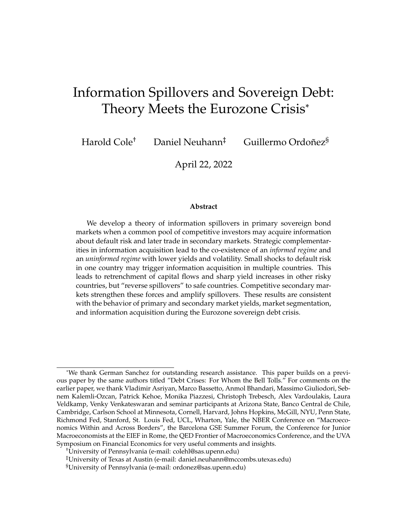to both the uninformed equilibrium and the auction equilibrium without secondary markets as long as the share of informed investors is sufficiently small. This is because uninformed investors have the option to trade under symmetric information by waiting out the auction. But when there are relatively few informed investors, the auction can clear only if some uninformed investors can be persuaded to participate in the auction. Given the benefit to waiting for the secondary market, this requires a sizable price discount at auction. Since this mechanism primarily affects the good state where uninformed investors face adverse selection at auction, even the goodstate auction price is lower than in the uninformed equilibrium price.



Figure 8: Effects of  $n_1$  on prices and the value of information.

Figure 9: The left panel shows prices in Country 1, the right panel shows prices in Country 2. We show both the prices at the auction  $(\hat{P}_1(\theta))$  and in the secondary markets  $(P_1(\theta))$  for Country 1, and how they vary with  $n_1$ . We also show the corresponding prices in the model without secondary markets  $(P_1^A(\theta))$  in grey, along with a horizontal line showing the uninformed equilibrium prices for comparison purposes. In Country 2, everyone is uninformed, so there is a single price schedule in which primary and secondary market prices coincide.

The figure shows that secondary markets amplify spillovers even though there is no asymmetric information in Country 2. This is because the ability to earn risk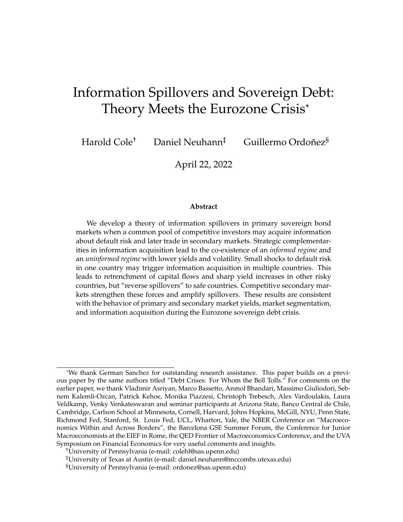free arbitrage profits motivates informed investors to reallocate more funds Country 1 than they would without secondary market.

## **7 Information Spillovers in the European Debt Crisis**

We argue that our theory of information spillovers offer a natural account for a number of key empirical regularities from Eurozone sovereign debt crisis. We focus on three countries, Portugal, Italy, and Germany, that used discriminatory auctions to sell relatively short-term debt during the crisis<sup>11</sup> and entered the crisis with different fundamentals: Portugal was highly indebted and at risk of insolvency, Italy was less fragile but sufficiently indebted to raise doubts about its ability to roll over its debt, and Germany's fiscal position was sound throughout. The key empirical regularities we are interested in are the following.

**Fact 1** (Yields)**.** *Prior to the crisis, yields were low and stable in all countries. During the crisis, average yields and yield volatility increased sharply in Portugal and Italy before eventually settling down. Conversely, German yields were low and stable throughout.*

**Fact 2** (Cross-market spread)**.** *The spread between primary and secondary market yields on auction days is sharply positive during the crisis for Portugal and Italy, but not for Germany. The spread declines once yields return to pre-crisis levels.*

**Fact 3** (Persistent Segmentation)**.** *The share of bonds held by non-resident investors in Italy and Portugal was high prior the crisis, fell during the crisis, and remained persistently low thereafter. The non-resident share of German bonds increased during the crisis.*

**Fact 4** (Auction Informativeness)**.** *Prior to the crisis, the unexpected component in auction prices had little or no explanatory power for subsequent secondary market yields. During the crisis, they have strong explanatory power in Italy and Portugal but not in Germany.*

The first fact is shown in Figure 10, the second and third are shown in Figure 11. To establish Fact 4, we regress the *unexpected* change in secondary prices for country *i* at the end of auction day *t* (denoted by  $log Sec_{i,t}$ ) on the *unexpected* change of primary prices that same auction day (denoted as  $log \text{Prim}_{i,t}$ ). To be more precise we define  $\log P_{i;t} = \log(P_{i;t}) \quad \log(\widehat{P}_{i;t})$ , where  $P \supseteq P$ rim, Secg and  $\widehat{P}_{i;t}$  is the predicted primary or secondary price based on the observed secondary prices during the

<sup>&</sup>lt;sup>11</sup>Long-maturity debt may be somewhat insulated from crisis events.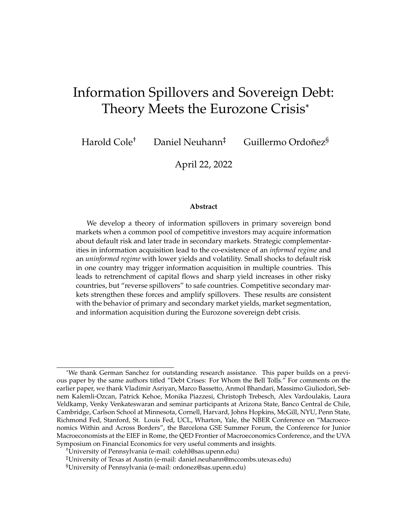last three days before auction day. Primary market surprises are informative when secondary prices react to them. Table 1 shows our estimates. We find that the primary market surprise is informative in the periphery during the crisis but not (or less informative) before the crisis, and is never informative in Germany.



Figure 10: Real Yields (one-year bonds).

Figure 11: Cross-market spreads and Segmentation.



To account for these facts, we study a repeated version of our model and modify it along three dimensions. First, we consider a richer default risk process with *public regimes* that capture commonly known variation in the default risk distribution due to, for instance, macroeconomic news. Within each regime, there are *three* possible quality shocks,  $\theta \geq \theta, m, gg$ . We use the bad state to capture "disaster" that worries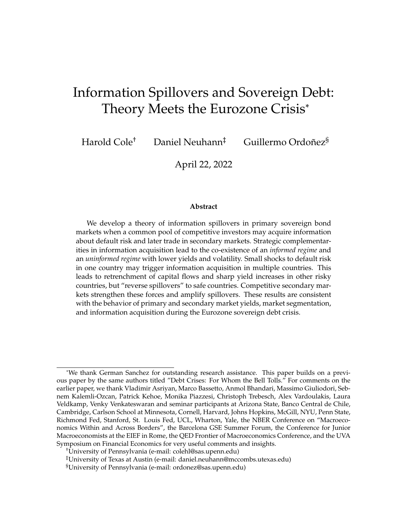| log Sec <sub>it</sub> : One-year Sovereign Bond<br>Dependent variable: |         |          |         |                                                  |          |         |  |
|------------------------------------------------------------------------|---------|----------|---------|--------------------------------------------------|----------|---------|--|
| Country                                                                |         | Portugal |         | Italy                                            |          | Germany |  |
| Period                                                                 | Before  | After    | Before  | After                                            | Before   | After   |  |
|                                                                        |         |          |         |                                                  |          |         |  |
| $log Prim_t$                                                           | 0.068   | 0.127    | 0.200   | 0.512                                            | $-0.080$ | 0.068   |  |
|                                                                        | (0.069) | (0.043)  | (0.065) | (0.054)                                          | (0.081)  | (0.043) |  |
| Observations                                                           | 45      | 103      | 46      | 129                                              | 10       | 77      |  |
| $R^2$                                                                  | 0.022   | 0.080    | 0.178   | 0.418                                            | 0.107    | 0.118   |  |
|                                                                        |         |          |         |                                                  |          |         |  |
| Dependent variable:                                                    |         |          |         | log Sec <sub>it</sub> : Half-year Sovereign Bond |          |         |  |
| Country                                                                |         | Portugal |         | Italy                                            | Germany  |         |  |
| Period                                                                 | Before  | After    | Before  | After                                            | Before   | After   |  |
|                                                                        |         |          |         |                                                  |          |         |  |
| $log Prim_t$                                                           | 0.012   | 0.049    | 0.093   | 0.111                                            | $-0.048$ | 0.003   |  |
|                                                                        | (0.049) | (0.029)  | (0.082) | (0.033)                                          | (0.033)  | (0.016) |  |
| Observations                                                           | 45      | 106      | 46      | 129                                              | 10       | 77      |  |
| $R^2$                                                                  | 0.001   | 0.026    | 0.028   | 0.080                                            | 0.207    | 0.001   |  |

Table 1: Elasticity of secondary market prices to information released at auction.

investors even when it does not materialize on path (e.g. a scenario in which Portugal is not bailed out.). This allows us to generate variation in default risk while preserving the winner's curse on path. Formally, we will assume state  $b$  is considered by investors but is never realized in sample.

To match the transition from the pre-crisis period to the height of the crisis, we consider three regimes: *tranquil* (t), *alarming* (a), and *crisis* (c), which have increasing levels of average default risk and increasingly poor worst cases. Parameters are given in Table 2 and are chosen to generate yields roughly in line with the data. In all regimes, the probability of the good state is  $f(g) = 0.6$  and the probability of the medium state is  $f(m) = 0.3$ .

Table 2: Default Risk Across Public Regimes

|             |         | Tranquil regime   Alarming regime   Crisis regime |       |
|-------------|---------|---------------------------------------------------|-------|
| $\kappa(q)$ | $0.1\%$ | $0.5\%$                                           | 3%    |
| $\kappa(m)$ | $0.5\%$ | 3%                                                | $7\%$ |
| $\kappa(b)$ | 1.25%   | $7\%$                                             | 25%   |

Second, we assume that there are distinct groups of investors indexed by their home country. The only difference between them is their cost of information acquisi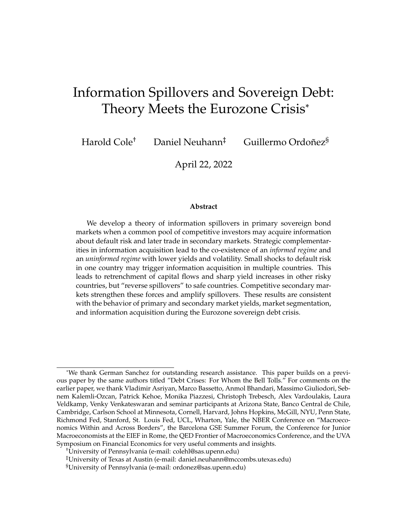tion: it is low and symmetric in their home country, but high abroad. These assumptions allow us to account for home-bias in investing. We pick information costs such that investors never acquire information abroad. Since the value of information is decreasing in the share of informed investors, this is an assumption about foreigners' cost of information *relative* to domestic investors. Thus, the key equilibrium choice is whether investors acquire information at home.

Third, we allow for trading frictions in the secondary market as in (Passadore and Xu 2020) and (Chaumont 2021). These frictions introduce a risk for informed of not finding buyers in secondary markets and for uninformed of not finding sellers, preventing full rebalancing after primary markets and ex-post perfect diversification across countries, which is counterfactual. For simplicity, we model these frictions as a fixed probability  $\rho$  that a given investor can access the secondary market.

We then conduct two event studies: *within-periphery spillovers*, whereby a shock to Portugal triggers information acquisition in Italy, and *core-periphery spillovers*, where we consider the effects on Germany of shocks to Portugal and Italy. In the latter, we treat Portugal and Italy as a joint "periphery" to maintain our two-country structure. We use the following common parameters throughout the analysis. To focus on spillovers in information regimes, we mute risk-based spillovers using log utility.

| Parameter | Interpretation                        | Value |
|-----------|---------------------------------------|-------|
|           | Country debt levels                   | 300   |
|           | Investor wealth                       | 1000  |
| $\sim$    | Coefficient of relative risk aversion |       |
|           | Secondary market liquidity            | 0.75  |

Table 3: Common parameters used in both event studies.

#### **7.1 Event Studies**

#### **7.1.1 Event Study 1: Spillovers from Portugal to Italy**

We now study spillovers from Portugal to Italy. We focus on three phases: the tranquil period prior to the crisis, the initial shock in Portugal, and the wider crisis. Table 4 describes public regimes for each phase. Portugal's default risk process steadily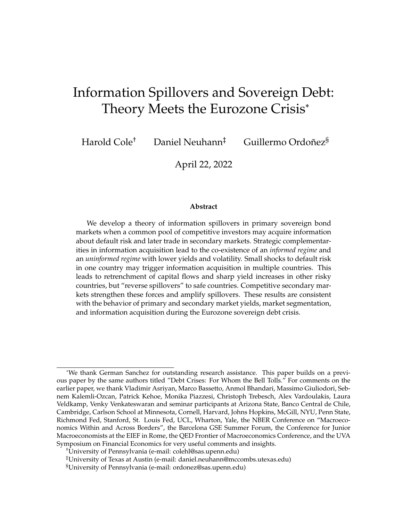worsens over time and reaches the crisis regime in Phase 3. Italy's experience is delayed: it enters the alarming regime in the last phase.

|       | Phase 1 | Phase 2                        | Phase 3  |
|-------|---------|--------------------------------|----------|
|       |         | Portugal   Tranquil   Alarming | Crisis   |
| Italy |         | $Tranquil$ $Tranquil$          | Alarming |

Table 4: Regimes in the within-periphery simulation.

There are three groups of investors: Portuguese (P), Italian (I), and Foreign (F). To match portfolio shares during the initial phase, we choose their masses to be  $n_F = 0.3$ ,  $n_P$  = 0.2 and  $n_I$  = 0.5. (Since all investors are symmetric when no one acquires information, the Portuguese non-resident share in Phase 1 is simply  $(n_1 + n_F)/n_P$ .)

Our theoretical results show that the value of information is increasing in default risk, and that there may be spillovers in information regimes. In the present example, an intermediate cost of domestic information acquisition triggers the pattern of information acquisition shown in Table 5: no investor acquires information when Italy and Portugal are in either the tranquil or the alarming regime, but information is acquired in *both* countries once Portugal enters the crisis regime.

|  |  |  | Table 5: Optimal information acquisition in the within-periphery simulation |
|--|--|--|-----------------------------------------------------------------------------|
|  |  |  |                                                                             |

|         | Phase 1                 | Phase 2 | Phase 3                                                      |
|---------|-------------------------|---------|--------------------------------------------------------------|
|         |                         |         | Portuguese   Uninformed.   Uninformed   Informed in Portugal |
| Italian | Uninformed   Uninformed |         | Informed in Italy                                            |
| Foreign | Uninformed   Uninformed |         | Uninformed                                                   |

Figure 12 shows simulated yields and portfolios for all possible realizations of the underlying quality shock  $\theta$ , where vertical lines indicate the three phases. We now show that transitions across these three phases can rationalize the key facts.

In Phase 1, yields are low and invariant to the state because default risk is low and no investor is informed. Moreover, markets are well-integrated because all investors behave symmetrically and the hold the same per-capita portfolio shares in both countries. In Phase 2, Portugal's yield rises due to an increase in default risk. However, the continued absence of informed investors implies stable yields and wellintegrated markets. This insulates Italy from the Portuguese shock: there is only a negligible increase in borrowing cost due to weak risk-based spillovers.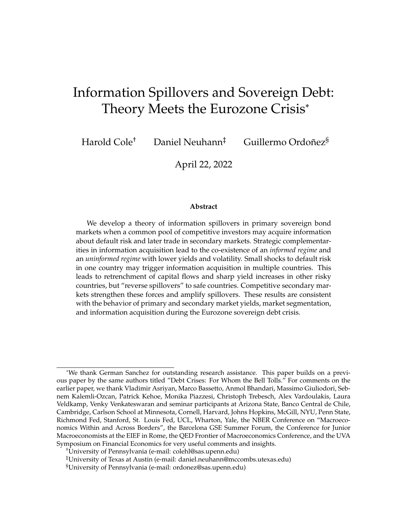In Phase 3, spillovers are substantial because the additional increase in default risk leads to a sudden shock to information acquisition in *both countries*. As in the data, this leads to a spike in average yields and yield *volatility*: average yields are high because default risk has increased and the winner's curse leads to poor risk sharing, and volatility is high because yields are highly sensitive to the realized shock. The advent of the winner's curse further induces market segmentation: because foreign investors can no longer bid in Portugal or Italy without fear of adverse selection, they withdraw from the auction. Because prices are higher in the secondary market, they also purchase fewer bonds later on. This fragmentation is simultaneously reflected in high average yields and a substantial primary-secondary market spread, in line with empirical record.

Two additional observations are also congruent with the data. First, news about the quality shock is reflected in auction prices. Since auction prices are observable, this news is impounded into secondary market prices, which generates the predictability result we establish empirically. Second, the non-resident share is low when *either* the good or the medium quality shock are realized. In fact, segmentation is more pronounced ex-post when the realized news is good because uninformed investors are particularly wary of bidding at high marginal prices. Accordingly, a natural outcome of our model is that markets remain *persistently segmented* even as yields start to fall once the height of the crisis passes (as can be captured by an increase of prices to  $P(g)$ ) from  $P(b)$ . Put differently, continued fears of potential bad shocks can lead foreign investors to pull back from Portugal and Italy for extended periods of time even when the *realized* shocks are good. This is consistent with the data, where non-resident shares are persistently low despite an eventual decline in yields.

The right panels also show the counterfactual where Italian investors do not acquire information at home. We find that the information spillover has striking effects: in its absence, average yields would have been lower, yield volatility would have been muted, there would have been no primary-secondary market spread, and the non-resident share would have *increased*. All of these effects are counterfactual with respect to the data.

#### **7.1.2 Event Study 2: Reverse Spillovers to Germany**

We now turn to the core-periphery event study in order to analyze the effects of shocks to the periphery on core yields and portfolios. The periphery is a combina-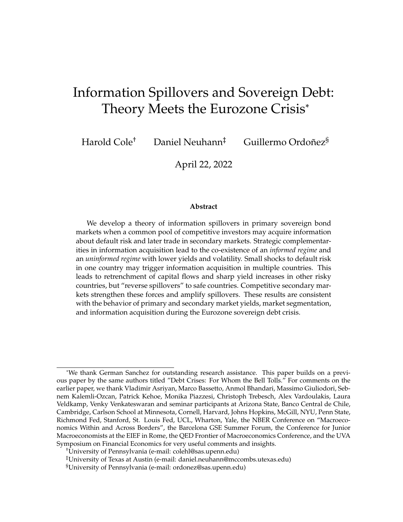

Figure 12: Portugal-Italy event study: primary market yields, the primary-secondary market spread, and non-resident shares for all quality shocks.

tion of Portugal and Italy; the core is represented by Germany. We again consider three phases: the tranquil period prior to the crisis, the initial shock to the periphery, and the full crisis.

Table 6 describes the assumed regimes for each phase. The periphery behaves like Portugal in the previous event study, with steadily worsening default risk culminating in the crisis regime. Germany experiences no fundamental regime shifts: it is in the tranquil regime throughout.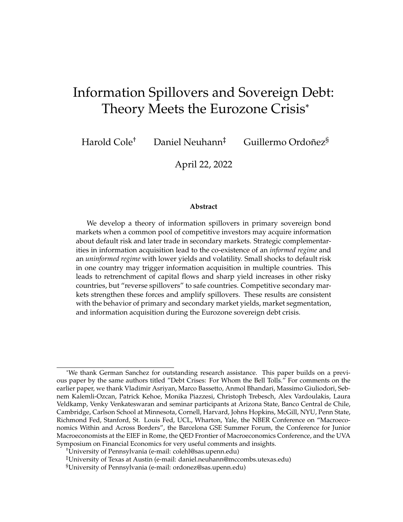Table 6: Regimes in the core-periphery event study.

|                                 | Phase 1 | Phase 2           | Phase 3  |
|---------------------------------|---------|-------------------|----------|
| Periphery   Tranquil   Alarming |         |                   | Crisis   |
| Germany                         |         | Tranquil Tranquil | Tranquil |

There are three groups of investors: German (G), Periphery (P) and Foreign (F).. Their masses are  $n_F = 0.15$ ,  $n_G = 0.5$ , and  $n_P = 0.35$ , respectively, which are chosen to match non-resident shares in the tranquil period prior to the crisis.<sup>12</sup> We conduct a similar information acquisition exercise before: taking as given that no investor acquires information abroad, do German and periphery investors want to acquire information in their countries? Given the *same* cost of domestic information acquisition as in the previous event study, we now find that there is no information regime spillover: while the shock to the periphery induces information acquisition there, tranquil fundamentals in Germany are sufficient to ensure the uninformed equilibrium there. These choices are summarized in Table 7.

Table 7: Optimal information acquisition in the core-periphery simulation.

| Investor type | Phase 1                 | Phase 2 | Phase 3                                          |
|---------------|-------------------------|---------|--------------------------------------------------|
| Periphery     |                         |         | Uninformed.   Uninformed   Informed in Periphery |
| German        | Uninformed   Uninformed |         | Uninformed                                       |
| Foreign       | Uninformed   Uninformed |         | Uninformed                                       |

Figure 13 shows the resulting outcomes in solid lines, and a counterfactual with information acquisition in Germany in dashed lines. As before, vertical lines indicate transition across the three phases.

The behavior of the periphery is similar to the first event study. Yields rise as the periphery enters the alarming regime in Phase 2, but volatility and the cross-market spread remain muted because there is no information acqusition. This changes in Phase 3, where the additional increase in fundamental risk leads to information acquisition. Yields are now highly sensitive to fundamentals, and the auction price reveals the state. Hence auction prices contain information about subsequent secondary mar-

<sup>&</sup>lt;sup>12</sup>As before, all investors choose identical portfolios in Phase 1; hence the periphery non-resident share is  $(n_F + n_G)/n_P$  in the initial phase.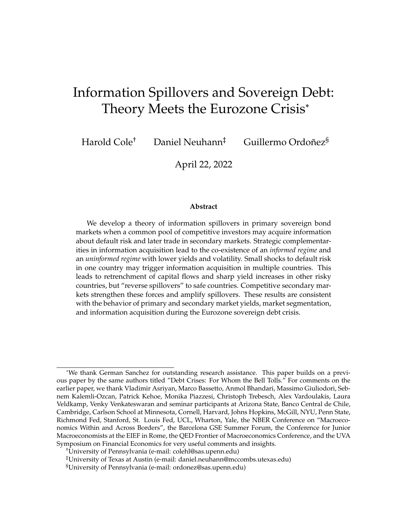ket prices, and there is a cross-market spread that allows informed investors to earn rents at auction. Finally, the winner's curse induces a sharp fall in non-resident share as uninformed investors pull back out of fear of overpaying at auction.

The key difference is in the behavior of Germany: since it did not experience a shock to its own fundamentals, the shock in the periphery is *not* enough to trigger a spillover of the information regime. Hence yields and yield volatility remain low, and auction prices do not reveal any additional information because no one is informed. Accordingly, auction prices do not predict subsequent secondary market prices, and there is no cross-market spread. In fact, yields fall slightly because the lack of winner's curse means Germany can serve as a "safe haven" for non-resident investors. Accordingly, its non-resident share actually *increases* during Phase 3.

Our counterfactuals reveal that these effects are driven almost entirely by lack of informational spillovers. Had there been information acquisition, average yields and yield volatility would have risen and the non-resident share would have *fallen*.

### **8 Conclusion**

This paper constructs a simple model of portfolio choice with information acquisition by an international pool of risk-averse investors who can buy sovereign debt issued by a number of different countries in primary markets, and traded later in secondary markets. There are three novelties in our approach. First, we allows for endogenous asymmetric information about fundamental default risk. Second, we focus on primary markets and the role of commonly-used discriminatory price protocols in determining the equilibrium degree of information asymmetry and its impact on yields and spillovers. Third, we explore the implications of secondary markets, and their interaction with primary markets and asymmetric information.

The auction protocol generates information rents that can induce sudden switches in the degree of asymmetric information in response to fundamental shocks. We show that this leads to a theory of yield shocks that also speaks to evidence of retrenchment in capital flows during sovereign bond crises. Our multi-unit auction with risk-averse investors give rise to rich interactions with secondary markets. Specifically, the ability to offload default risk boosts the value of information at auction and induces an arbitrage spread between primary and secondary markets. This spread can be used to detect the presence of asymmetric information at auction even absent bidding data.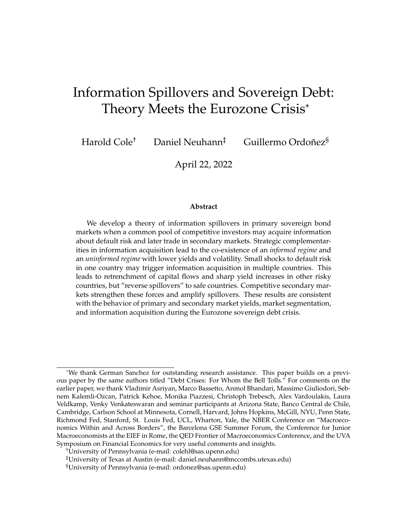

Figure 13: Periphery-Germany event study: primary market yields, the primary-secondary market spread, and non-resident shares for all quality shocks.

We apply our model to the recent Eurozone sovereign debt crisis and show that it can rationalize the key facts from that episode, which include yield contagion among the periphery, falling yields in the core, a pullback of foreign ownership of periphery bonds but an increase in foreign ownership of core bonds, and a wider spread between auction and secondary market.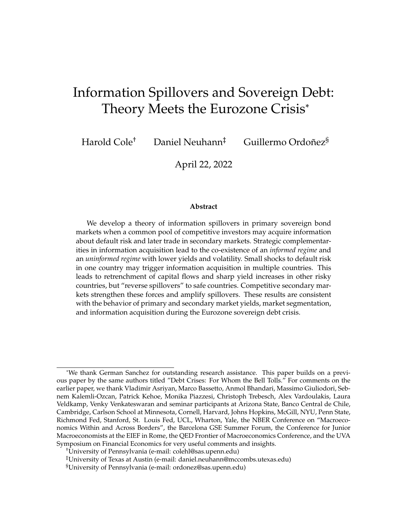### **References**

- Aguiar, Mark, Manuel Amador, Emmanuel Farhi, and Gita Gopinath. 2015. "Coordination and Crisis in Monetary Unions." *Quarterly Journal of Economics* 130:1727– 1779.
- Ahnert, Toni, and Christoph Bertsch. 2020. "A Wake-up Call Theory of Contagion." *Working paper*.
- Arellano, Cristina, Yan Bai, and Sandra Lizarazo. 2017. "Sovereign Risk Contagion." NBER Working Paper 24031.
- Bahaj, Saleem. 2020. "Sovereign spreads in the Euro area: Cross border transmission and macroeconomic implications." *Journal of Monetary Economics* 110:116–135.
- Bartolini, Leonardo, and Carlo Cottarelli. 2001. "Designing Effective Auctions for Treasury Securities." *Handbook of Fiscal Policy* 98:1287.
- Bocola, Luigi, and Alessandro Dovis. 2015. "Self-Fulfilling Debt Crises: A Quantitative Analysis." Working Paper, Northwestern University.
- Brenner, Menachem, Dan Galai, and Orly Sade. 2009. "Sovereign debt auctions: Uniform or discriminatory?" *Journal of Monetary Economics* 56 (2): 267–274.
- Broner, Fernando, Gaston Gelos, and Carmen Reinhart. 2004. "When in Peril, Retrench: Testing the Portfolio Channel of Contagion." NBER Working Paper 10941.
- Broner, Fernando, Alberto Martin, and Jaume Ventura. 2010. "Sovereign Risk and Secondary Markets." *American Economic Review* 100:1523–1555.
- Bukchandani, Sushil, and Chi-fu Huang. 1989. "Auctions with Resale Markets: An Exploratory Model of Treasury Bill Markets." *The Review of Financial Studies* 2 (3): 311–339 (July).
- Calvo, Guillermo. 1988. "Servicing the Public Debt: The Role of Expectations." *American Economic Review* 78 (4): 647–661.
- Calvo, Guillermo, and Enrique Mendoza. 1999. "Rational Contagion and the Globalization of Securities Markets." *Journal of International Economics* 51:79–113.
- Chaumont, Gaston. 2021. "Sovereign Debt, Default Risk, and the Liquidity of Government Bonds." *Working paper*.
- Cole, Harold, and Timothy Kehoe. 2000. "Self-Fulfilling Debt Crises." *Review of Economic Studies* 67 (1): 91–116.
- Cole, Harold L., Daniel Neuhann, and Guillermo Ordoñez. 2020. "Asymmetric Information and Sovereign Debt: Theory Meets Mexican Data." *Journal of Political Economy. Forthcoming.*
	- . 2021. "Sovereign Debt Auctions In Turbulent Times." *AEA Papers and Proceedings. Forthcoming.*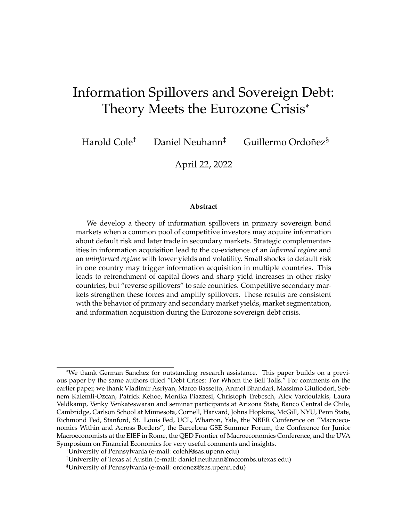- Engelbrecht-Wiggans, Richard, and Charles M Kahn. 1998. "Multi-unit auctions with uniform prices." *Economic theory* 12 (2): 227–258.
- Esö, Peter, and Lucy White. 2004. "Precautionary bidding in auctions." *Econometrica* 72 (1): 77–92.
- Fudenberg, Drew, Markus Mobius, and Adam Szeidl. 2007. "Existence of equilibrium in large double auctions." *Journal of Economic theory* 133 (1): 550–567.
- Giordano, Rafaella, Marcello Pericolli, and Pietro Tommasino. 2013. "Pure or Wakeup-Call Contagion? Another Look at the EMU Sovereign Debt Crisis." *International Finance* 16 (2): 131–160.
- Goldstein, I, and A Pauzner. 2004. "Contagion of Self-Fulfilling Financial Crises due to Diversification of Investment Portfolios." *Journal of Economic Theory*, no. 119:151–183.
- Goldstein, Morris. 1998. *The Asian Financial Crisis: Causes, Cures, and Systematic Implications*. Washington, DC: Institute of International Economics.
- Grossman, Sanford, and Joseph Stiglitz. 1980. "On the Impossibility of Informationally Efficient Markets." *American Economic Review* 70 (3): 393–408 (June).
- Grossman, Sanford J, and Joseph E Stiglitz. 1976. "Information and competitive price systems." *The American Economic Review* 66 (2): 246–253.
- Hortaçsu, Ali, and David McAdams. 2010. "Mechanism choice and strategic bidding in divisible good auctions: An empirical analysis of the turkish treasury auction market." *Journal of Political Economy* 118 (5): 833–865.
- Kagel, John H, and Dan Levin. 2001. "Behavior in multi-unit demand auctions: experiments with uniform price and dynamic Vickrey auctions." *Econometrica* 69 (2): 413–454.
- Kastl, Jakub. 2011. "Discrete bids and empirical inference in divisible good auctions." *The Review of Economic Studies* 78 (3): 974–1014.
- Kodres, Laura E., and Matthew Pritsker. 2002. "A Rational Expectations Model of Financial Contagion." *Journal of Finance* 57 (2): 769–799 (April).
- Kyle, Albert, and Wei Xiong. 2001. "Contagion as a Wealth Effect." *Journal of Finance* 56 (4): 1401–1440.
- Lizarazo, Sandra. 2013. "Default Risk and Risk Averse International Investors." *Journal of International Economics* 89:317–330.
- Lorenzoni, Guido, and Ivan Werning. 2013. "Slow Moving Debt Crises." *NBER Working Paper 19228*, July.
- McAdams, David. 2006. "Monotone equilibrium in multi-unit auctions." *The Review of Economic Studies* 73 (4): 1039–1056.
- Milgrom, Paul R. 1981. "Rational expectations, information acquisition, and competitive bidding." *Econometrica: Journal of the Econometric Society*, pp. 921–943.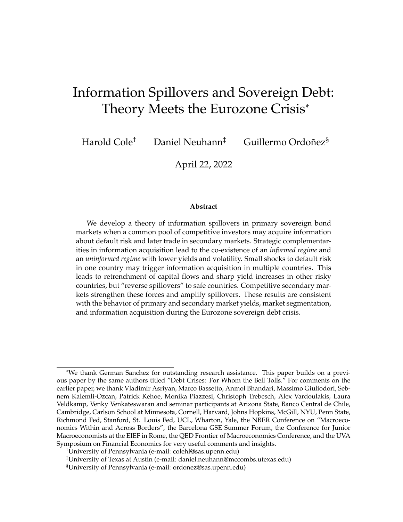- Mondria, Jordi, and Climent Quintana-Domeque. 2013. "Financial Contagion and Attention Allocation." *Economic Journal* 123:429–454.
- Moretti, Matias. 2021. "The Asymmetric Pass-Through of Sovereign Risk." Working Paper, Princeton University.
- Passadore, Juan, and Yu Xu. 2020. "Illiquidity in Sovereign Debt Markets." *Working paper*.
- Perry, Motty, and Philip J Reny. 1999. "On the Failure of the Linkage Principle in Multi-unit Auctions." *Econometrica* 67 (4): 895–900.
- Reny, Philip J, and Motty Perry. 2006. "Toward a strategic foundation for rational expectations equilibrium." *Econometrica* 74 (5): 1231–1269.
- Van Nieuwerburgh, Stijn, and Laura Veldkamp. 2009. "Information Immobility and the Home Bias Puzzle." *The Journal of Finance* 64 (3): 1187–1215.
- Wilson, Robert. 1979. "Auctions of Shares." *Quarterly Journal of Economics* 93:675– 689.
- Yuan, Kathy. 2005. "Asymmetric Price Movements and Borrowing Constraints: A Rational Expectations Equilibrium Model of Crises, Contagion and Confusion." *Journal of Finance* 60 (1): 379–411.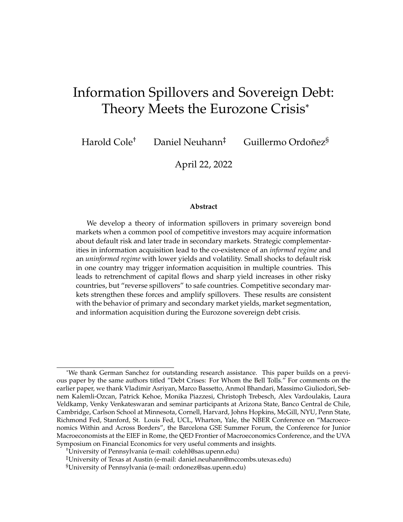### **A Appendix: Proofs**

#### **A.1 Proof of Proposition 1**

Investors' risk-aversion implies that we must have  $P_i(\theta_i) < 1 \quad \kappa_i(\theta_i)$  whenever there are informed investors in j, and  $P_j(g) = P_j(b) < 1$   $\kappa_j$  if there no informed investors. Hence bonds offer a strictly positive risk premium (excess return over storage), and each country's default decision is uncorrelated with that of the other country. Given a twice continuously differentiable utility function, a risk-averse investor must purchase a strictly positive quantity of any perfectly divisible risky gamble if it offers a strictly positive expected return. When there are no informed investors, uninformed investors face such a gamble and thus their first-order condition for optimal bids must hold with equality. When there are informed investors, informed investors also face such a gamble in every state, and thus their first-order condition holds with equality. Lemma **??** shows that the presence of informed investors leads to price dispersion. As a result, uninformed investors' bids at  $P_i(g)$  are also accepted if  $\theta_i = b$ , and the expected default probability on a bond acquired at  $P_i(g)$  is  $\kappa_1$ . If  $P_i(g) < 1 - \kappa_1$ , uninformed investors face a gamble with negative expected returns and the shortsale constraint on bids at  $P_i(g)$  binds. Hence uninformed investors are marginal if there are no informed investors, and otherwise informed investors are marginal investors in every state. The stated optimality conditions are the first-order conditions for optimality derived from differentiating the objective function with respect to bids. Given the convexity of constraints and the strict concavity of the objective function, first-order conditions are necessary and sufficient for portfolio optimality.

#### **A.2 Proof of Proposition 2**

*First statement.* Let  $B_2$  denote investors' bids in Country 2 given marginal price  $P<sub>2</sub>$ . Assume that uninformed investors submit bids in all states, so that all firstorder conditions for optimal bids hold with equality. We will first show that informed investors spend less than uninformed investors in the bad state,  $P_1(b)B_1'(b) <$  $P_1(g)B_1^U(g) + P_1(b)B_1^U(b)$ . For a contradiction, suppose not. Then for any  $W$  2  $fW$   $P_2B_2$ ,  $W$  + (1  $P_2B_2g$ , marginal utility after default satisfies

$$
P_1(b)\kappa_1(b)u^0(W-P_1(b)B_1'(b))\qquad P_1(b)\kappa_1(b)u^0(W-P_1(g)B_1'(g)-P_1(b)B_1''(b)).
$$

First-order conditions for bids at  $P_1(b)$  (as stated in Proposition 2) then imply that, for any  $W \supseteq fW$   $P_2B_2$ ,  $W + (1 \quad P_2B_2g$ , marginal utility after repayment satisfies

$$
u^{\theta}\Big(W + (1 - P_1(b))B_1'(b)\Big) - u^{\theta}\Big(W + (1 - P_1(g))B_1^U(g) + (1 - P_1(b))B_1^U(b)\Big).
$$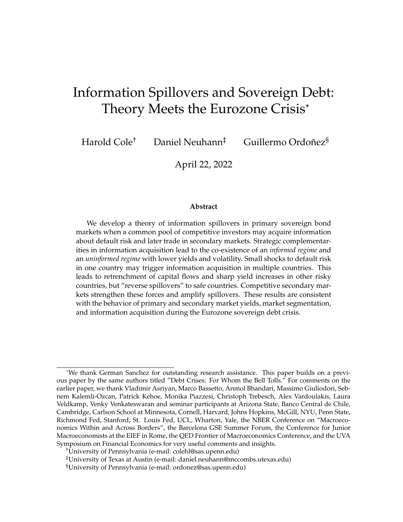By the concavity of  $u($  ), we have

$$
B'_1(b) \quad \left(B''_1(g) + B''_1(b)\right) \quad P_1(b)B'_1(b) \quad \left(P_1(g)B''_1(g) + P_1(b)B''_1(b)\right).
$$

We have assumed for a contradiction that  $P_1(b)B_1^b$ (b)  $P_1(g)B_1^U(g) + P_1(b)B_1^U(b).$ Moreover,  $P_1(b)$  < 1 by investors' risk aversion. Hence the right-hand side of the preceding inequality satisfies

$$
P_1(b)B_1'(b) \quad \left(P_1(g)B_1^U(g) + P_1(b)B_1^U(b)\right) < B_1'(b) \quad \left(\frac{P_1(g)}{P_1(b)}B_1^U(g) + B_1^U(b)\right).
$$

Since  $P_1(g)$   $P_1(b)$ , the contradiction obtains.

Next, we show that informed investors spend more than uninformed investors in the good state,  $P_1(g)B_1^I(g) > P_1(g)B_1^U(g)$ . For any fixed repayment or default decision in Country 2 and associated risk-free holdings  $W \supseteq fW$   $P_2B_2$ ,  $W + (1 \quad P_2B_2g$ , uninformed investors' first-order condition for bids at  $P_1(g)$  can be written as

$$
f_1(b) \Big[ P_1(g)\kappa_1(b)u^{\ell}(W \t P_1(g)B_1^U(g) \t P_1(b)B_1^U(b)) \dots
$$
  
(1  $P_1(g))(1 \kappa_1(b))u^{\ell}(W + (1 \t P_1(g))B_1^U(g) + (1 \t P_1(b))B_1^U(b)) \Big]$   
=  $f_1(g) \Big[ (1 \t P_1(g))(1 \kappa_1(g))u^{\ell}(W(1 \t P_1(g))B_1^U(g)) \t P_1(g)\kappa_1(g)u^{\ell}(W \t P_1(g)B_1^U(g)) \Big]$ 

.

Since  $P_1(q)$   $P_1(b)$ , the first-order condition for bids at  $P_1(b)$  implies that the lefthand side is positive. This implies

$$
\frac{(1-\kappa_1(g))u^{\theta}(W+(1-P_1(g))B_1^U(g))}{\kappa_1(g)u^{\theta}(W-P_1(g)B_1^U(g))}>\frac{P_1(g)}{(1-P_1(g))}.
$$

Comparing with informed investors' FOC for bids at  $P_1(g)$  implies the result.

Lastly, assume that the short-sale constraint binds for uninformed bids at  $P_1(g)$ . Then uninformed investors' decision problem for bids at  $P_1(b)$  is identical to that of informed investors (else the only difference is that the uninformed know bids at  $P_1(g)$ are also going to be accepted). Hence they choose the same bidding strategy at  $P_1(b)$ .

*Second statement.* The first part follows directly from the first statement. Since informed investors spend relatively more in the good state for any marginal price, and increase in their mass must lead to a price increase. (The analogous statement does not necessarily hold for the bad state because market-clearing condition in state  $\theta_1 = b$  is a function of  $P_1(g)$  also.) In the limit as  $n_1 / 0$ , uninformed investors must clear the market,  $\lim_{n\to 0} P_1(g)B_1^U(g) = D_1$ . Since all high-price bids are also accepted in the bad state, uninformed investor's first-order condition then implies the result.

*Third statement.* Since  $P_1(b) < 1 \quad \kappa_1(b)$ , all investors face a gamble with strictly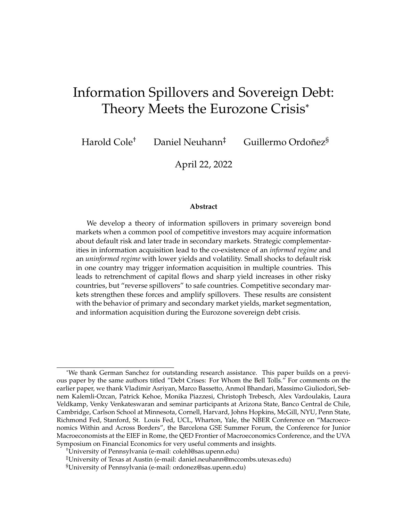positive expected returns at  $P_1(b)$ . Hence by Proposition 1 the first-order condition for bids at  $P_1(b)$  binds with equality for all investors and  $B_1^i(b) > 0$  for all i if  $n_1 > 0$ . Since  $\lim_{n_1 \to 0} P_1(g) = P_1$  and  $P_1(g) > P_1(b)$  for all  $n_1 > 0$  by Lemma **??**, we have ruled out  $\lim_{n\to\infty} P_1(b) > P_1$ . Now suppose for a contradiction that  $\lim_{n \to \infty} P_1(b) = P_1$ . If  $B_1^U(b) = 0$ , uninformed investors' consumption is invariant to the state. By the first-order condition for bids at  $P_1(g)$ , these investors are indifferent on the margin between buying and selling a bond that defaults with probability  $\kappa_1$ . Since  $\lim_{n\to 0} P_1(b) = P_1$ , the continutity of marginal utility implies that there exists  $n_1 > 0$  sufficiently close to zero such that it is strictly optimal to submit negative bids at  $P_1(b)$  because the associated bonds default with probability  $\kappa_1(b) > \kappa_1$ . Contradiction.

Next, we show that  $P_1(b) < P_1$  for all  $n_1 > 0$ . Suppose for a contradition that  $P_1(b)$   $P_1$ . By definition,  $P_1$  is the price at which uninformed investors are willing to spend  $D_1$  on bonds given that the acquired bonds default with probability  $\kappa_1$ . Recall also that  $P_1(g)$   $P_1(b)$  by Lemma **??**. Hence if  $P_1(b)$   $P_1$ , first-order conditions for bid optimality imply that  $X_1^U(b) = P_1(g)B_1^U(g) + P_1(b)B_1^U(b) < D_1.$  The first statement of this proposition showed that  $X_1^U(g) = X_1^U(g)$ . Hence  $n_1 X_1^I(b) + (1 - n_1) X_1^U(b) < D_1$ , a contradiction with the market-clearing condition.

**Q.E.D.**

#### **A.3 Proof of Proposition 3**

In the uninformed equilibrium, prices are invariant to the state,  $P_1(g) = P_1(b) = P_1$ . Let  $B_1 = D_1/P_1$  denote the equilibrium bids of uninformed investors in the uninformed equilibrium. Proposition 2 and its proof show that the informed equilibrium satisfies  $\lim_{n_1/0} P_1(g) = P_1$ ,  $\lim_{n_1/0} P_1(b) < P_1$ ,  $\lim_{n_1/0} P_1(b) < P_1$ ,  $\lim_{n_1/0} B_1^U(g) =$  $B_1$  and  $\lim_{n\to\infty} B_1^U(b) = 0$ . Hence in the limit as  $n_1$  ! 0, uninformed investors purchase bonds only at  $P_1(q)$  and obtain the same utility as in the uninformed equilibrium. Hence we must show that informed investors do strictly better in the limit of the informed equilibrium as  $n_1$  ! 0. By the fact that  $\lim_{n_1 \to \infty} P_1(g) = P_1$ , informed investors face the same decision problem (and obtain the same utility advantage over uninformed investors) in the good state. In the bad state, informed investors face a strictly lower marginal price in the limit of the uninformed equilibrium than in the uninformed equilibrium. Hence they are strictly better in the informed equilibrium if and only if the short-sale constraint does not bind at  $P_1^0(b)$   $\lim_{n\to\infty} P_1(b)$ . We now show that this constraint does not bind. Recall that  $P_1^0(b)$  is such that uninformed investors are willing to purchase a vanishingly small number of bonds in a neighborhood around  $n_1 = 0$ . This requires  $P_1(b) < 1 \kappa_1(b)$ . Since informed investors can make state-contingent bids and hold only uncorrelated risks in Country 2, it is strictly optimal to purchase bonds at  $P_1^0(b)$ .

The previous arguments have shown that  $V < \lim_{n \to \infty} V(n_1)$ , and we can find a cost of information such that it is strictly suboptimal to acquire information if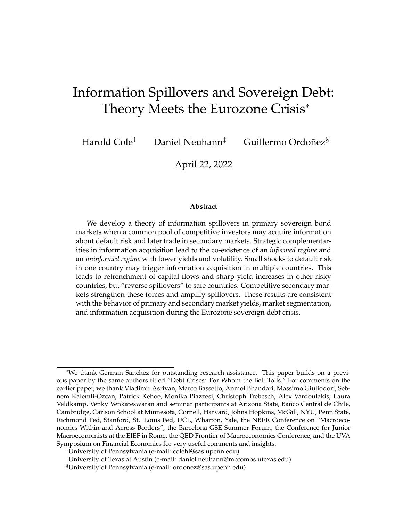no other investor does so, but strictly optimal to acquire information if some other investors do so as well. Since  $K$  is the cost of acquiring information, it is trivial that the share of informed investors in any equilibrium with endogenous information acquisition is weakly increasing in  $K$ .

**Q.E.D.**

#### **A.4 Proof of Proposition 7**

We first state a proposition on the general properties of cross-country spillovers.

**Proposition 7** (Risk-based contagion)**.** *Assume there are no informed investors in either country. Then the following statements hold:*

*(i)* An increase in  $\kappa_1$  simultaneously decreases prices in both countries if and only if

$$
\left[\frac{\partial F_1}{\partial P_1}\frac{\partial F_2}{\partial P_2} \quad \frac{\partial F_1}{\partial P_2}\frac{\partial F_2}{\partial P_1}\right]\left[\quad \frac{\partial F_j}{\partial P_j}\frac{\partial F_j}{\partial \kappa_1} + \frac{\partial F_j}{\partial P_j}\frac{\partial F_j}{\partial \kappa_1}\right] < 0 \quad \text{for all } j.
$$

- *(ii) There is contagion through the default risk channel (*∂Fj/∂κ <sup>j</sup> < 0*) if and only if there is decreasing absolute risk aversion. There is no cross-country contagion (* $\partial F_j/\partial \kappa_j$  *=*  $\partial F_i/\partial P_j = 0$ ) if and only if there is constant absolute risk aversion.
- *(iii)* Under decreasing absolute risk aversion, a shock to  $\kappa_1$  that lowers  $P_1$  also lowers  $P_2$  if

$$
\frac{\partial F_j}{\partial P_j} > \frac{\frac{\partial F_j}{\partial P_j} \frac{\partial F_j}{\partial P_j}}{\frac{\partial F_j}{\partial P_j}} \quad \text{where} \quad \frac{\frac{\partial F_j}{\partial P_j} \frac{\partial F_j}{\partial P_j}}{\frac{\partial F_j}{\partial P_j}} < 0.
$$

The proposition first states a general necessary and sufficient condition for contagion. The first term on the left-hand side compares the magnitude of within-country price effects with cross-country price effects, while second term determines the magnitude of contagion due to default risk. The second statement in the proposition shows that the sign of the default risk contagion channel is determined by the properties of investors' absolute risk aversion: there is contagion through default risk if and only if there is decreasing absolute risk aversion (DARA). This is because an increase in default risk places more weight on states with low consumption. Under DARA, this leads to an increase in average risk aversion and a higher required risk premium. With constant absolute risk aversion (CARA) instead, a level change in consumption does not change the required risk premium and prices are perfectly insulated from fundamental shocks in the other country.

The sign of the pure price contagion channel is  $\partial F_j/\partial P_{j}$  is ambiguous under DARA. To account for this, the third statement provides a sufficient condition for simultaneous price decreases which ensures that any positive spillovers from pure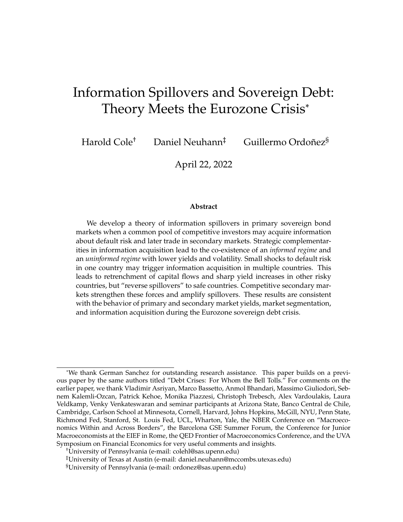price contagion do not not outweigh the negative spillovers from default risk contagion. (We provide sufficient conditions for negative price spillovers below.)

*First Statement.* Write the system of first-order conditions in vector form as

$$
\begin{bmatrix} F_1 \\ F_2 \end{bmatrix} = \begin{bmatrix} 0 \\ 0 \end{bmatrix}
$$

Differentiating with respect to  $\kappa_1$  and applying the implicit function theorem gives

$$
\begin{bmatrix}\n\frac{\mathcal{Q}F_1}{\mathcal{Q}P_1} & \frac{\mathcal{Q}F_1}{\mathcal{Q}P_2} \\
\frac{\mathcal{Q}F_2}{\mathcal{Q}P_1} & \frac{\mathcal{Q}F_2}{\mathcal{Q}P_2}\n\end{bmatrix}\n\begin{bmatrix}\n\frac{\mathcal{Q}P_1}{\mathcal{Q}P_2} \\
\frac{\mathcal{Q}P_2}{\mathcal{Q}P_1}\n\end{bmatrix} = \begin{bmatrix}\n\frac{\mathcal{Q}F_1}{\mathcal{Q}P_2} \\
\frac{\mathcal{Q}F_2}{\mathcal{Q}P_1}\n\end{bmatrix}
$$

Define the determinant of the square matrix as

$$
\det = \frac{\partial F_1}{\partial P_1} \frac{\partial F_2}{\partial P_2} \quad \frac{\partial F_1}{\partial P_2} \frac{\partial F_2}{\partial P_1}
$$

Then

$$
\begin{bmatrix} \frac{\mathcal{Q}P_1}{\mathcal{Q}P_2} \\ \frac{\mathcal{Q}P_2}{\mathcal{Q}P_1} \end{bmatrix} = \frac{1}{\det} \begin{bmatrix} \frac{\mathcal{Q}F_2}{\mathcal{Q}P_2} & \frac{\mathcal{Q}F_1}{\mathcal{Q}P_2} \\ \frac{\mathcal{Q}F_2}{\mathcal{Q}P_1} & \frac{\mathcal{Q}F_1}{\mathcal{Q}P_1} \end{bmatrix} \begin{bmatrix} \frac{\mathcal{Q}F_1}{\mathcal{Q}P_2} \\ \frac{\mathcal{Q}F_2}{\mathcal{Q}P_1} \end{bmatrix}
$$

The first statement follows from this expression.

*Second Statement.* We will first show that there is no contagion with CARA preferences. Without loss of generality, consider a representative uninformed investor and drop superscripts indicating types. By market-clearing,  $B_j = \frac{D_j}{P_j}$  $\frac{D_j}{P_j}$  for *j*, and risk-free holdings satisfy  $w = W - D_1 - D_2$ . The resulting consumption profile depends only on the default decisions  $\delta_1$  and  $\delta_2$ ,

$$
c(\delta_1, \delta_2) = w + (1 - \delta_1)B_1 + (1 - \delta_2)B_2.
$$

where  $\delta_i = 1$  if j defaults and  $\delta_i = 0$  otherwise. Expected marginal utility conditional on  $\delta_j$  is

$$
m_j(\delta_j) = \kappa_{j} u^j (w + (1 - \delta_j)B_j) + (1 - \kappa_{j}) u^j (w + (1 - \delta_j)B_j + B_j)
$$

First-order conditions for bids in Country 1 and Country 2 are, respectively,

$$
(1 \kappa_1)(1 \tP_1)m_1(0) \kappa_1P_1m_1(1) = 0 \t\t(4)
$$

$$
(1 \kappa_2)(1 \tP_2)m_2(0) \kappa_2 P_2m_2(1) = 0. \t(5)
$$

Let  $y_j$  (1  $P_j$ )/ $P_j$  denote j's yield and redefine the appropriate ratio of marginal utilities (or ratio of state prices) as  $M_j = \frac{j}{1-j} M_j$ , with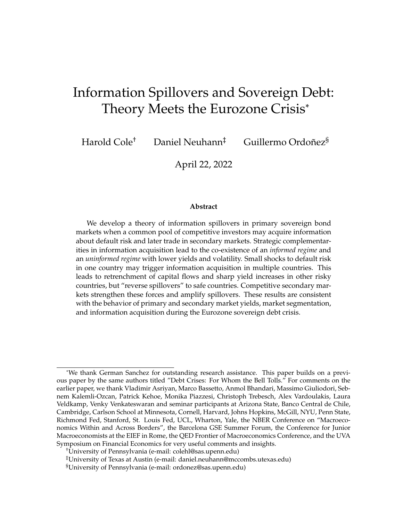$$
\widetilde{M}_{j} \quad \frac{m_{j}(1)}{m_{j}(0)} = \frac{\kappa_{j} u^{\theta}(w) + (1 + \kappa_{j}) u^{\theta}(w + B_{j})}{\kappa_{j} u^{\theta}(w + B_{j}) + (1 + \kappa_{j}) u^{\theta}(w + B_{j} + B_{j})}
$$
\n
$$
= \frac{u^{\theta}(w + B_{j})}{u^{\theta}(w + B_{j} + B_{j})} \frac{1 + \kappa_{j} \left[ \frac{u^{\theta}(w)}{u^{\theta}(w + B_{j})} - 1 \right]}{1 + \kappa_{j} \left[ \frac{u^{\theta}(w + B_{j})}{u^{\theta}(w + B_{j} + B_{j})} - 1 \right]}
$$

If preferences satisfy CARA, then  $u^{\ell}(c) = \gamma e^{-c}$  and the second term of the previous line is equal to one for any default probabilities and debt levels. Hence

$$
\widetilde{M}_j = e^{-B_j}
$$

Given this result, we can express the pricing equation for each country as

$$
\frac{1 - P_j}{P_j} = \frac{\kappa_j}{1 - \kappa_j} e^{-\frac{D_j}{P_j}}
$$

which is independent of any variables indexed by  $j$ .

Based on this new notation,  $F_j = y_j - \frac{j}{1-j}M_j$ . Hence

$$
\frac{\partial F_j}{\partial \kappa_j} = \frac{\kappa_j}{1 - \kappa_j} \frac{\partial M_j}{\partial \kappa_j}.
$$

Hence the sign is the opposite of the sign of  $\frac{\mathscr{P}M_j}{\mathscr{P}-j}$ . We will show that that the latter is strictly positive if and only if preferences satisfy DARA (as we discussed this is zero with CARA). Hence  $\frac{\mathscr{F} F_j}{\mathscr{F}} < 0$ . Differentiating  $\widetilde{M}_j$  with respect to  $\kappa_{-j}$  yields

$$
\frac{\partial \widetilde{M}_j}{\partial \kappa_j} = \frac{\left(u^{\theta}(w) - u^{\theta}(w + B_j)\right) - \left(u^{\theta}(w + B_j) - u^{\theta}(w + B_j + B_j)\right)\widetilde{M}_j}{m_j(0)}
$$

Observe that

$$
\frac{\partial \widetilde{M}_j}{\partial \kappa_j} > 0 \ , \quad \frac{\left(u^{\ell}(w) - u^{\ell}(w + B_j) \right)}{\left(u^{\ell}(w + B_j) - u^{\ell}(w + B_j + B_j) \right)} > \widetilde{M}_j.
$$

After some algebra, this condition can be rewritten as

$$
\frac{\partial \widetilde{M}_j}{\partial \kappa_j} > 0 \; , \quad \frac{u^{\theta}(w) - u^{\theta}(w + B_j)}{u^{\theta}(w + B_j)} > \frac{u^{\theta}(w + B_j) - u^{\theta}(w + B_j + B_j)}{u^{\theta}(w + B_j + B_j)}
$$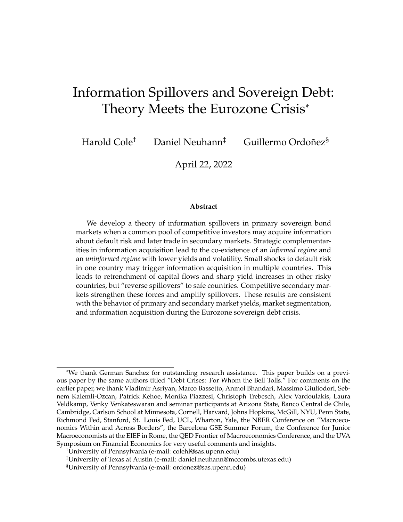We now show this holds if u satisfies decreasing absolute risk aversion (DARA). Let

$$
=\frac{u^{\ell}(W)-u^{\ell}(W+B)}{u^{\ell}(W+B)}.
$$

Then the claim is equivalent to strictly decreasing in W for any  $B, W > 0$ . This holds by definition of DARA since

$$
\frac{\partial}{\partial W} < 0 \quad \frac{u^{\emptyset}(W)}{u^{\emptyset}(W)} > \frac{u^{\emptyset}(W + B)}{u^{\emptyset}(W + B)}.
$$

*Third Statement.* By the second statement, we have that  $\frac{\partial F_j}{\partial P_j}$ ,  $\frac{\partial F_j}{\partial P_j}$  $\frac{\mathscr{E} F_j}{\mathscr{E}_{1}}$ ,  $\frac{\mathscr{E} F_{j}}{\mathscr{E}_{1}}$  $\frac{q}{\mathcal{Q}-1}$  are all strictly negative. Under the stated condition, we therefore have the that the second term of the condition in Statement (i) is strictly negative for each  $j$ . If prices are to decline in Country 1, we must have  $\frac{\mathscr{E} F_1}{\mathscr{E} P_1}$ <u>@F2</u> @ $P_2$  $E_1$  $\mathcal{P}_2$  $E_2$  $\frac{\partial P_{2}}{\partial P_{1}}>0$ , and Country 2 prices also decline.

**Q.E.D.**

#### **A.5 Proof of Corollary ??**

There is pure price contagion if  $\partial F_j/\partial P_j > 0$ . From the third statement of Proposition 7 this is the case if and only if,

$$
\frac{\partial \widetilde{M}_j}{\partial B_j} > 0 \; , \quad \frac{u^{\emptyset}(w + B_j)}{u^{\emptyset}(w + B_j)} < \frac{u^{\emptyset}(w + B_j + B_j)}{u^{\emptyset}(w + B_j + B_j)} \left[ \frac{1 + \kappa_j + \kappa_j \frac{u^{\emptyset}(w)}{u^{\emptyset}(w + B_j)}}{1 + \kappa_j \frac{u^{\emptyset}(w + B_j)}{u^{\emptyset}(w + B_j + B_j)}} \right].
$$

We can rewrite this condition as

$$
\frac{u^{\emptyset}(w+B_j)}{u^{\emptyset}(w+B_j)} < \frac{u^{\emptyset}(w+B_j+B_j)}{u^{\emptyset}(w+B_j+B_j)} \left[ \frac{\frac{(1-j)u^{\emptyset}(w+B_j)+j}u^{\emptyset}(w)}{\frac{u^{\emptyset}(w+B_j)+j}u^{\emptyset}(w+B_j)}{\frac{u^{\emptyset}(w+B_j+B_j)+j}u^{\emptyset}(w+B_j)} \right].
$$

Cancelling  $u^{\ell}(w + B_j + B_{j})$  in the denominator

$$
\frac{u^{\emptyset}(w + B_{j})}{u^{\emptyset}(w + B_{j})} < \frac{u^{\emptyset}(w + B_{j} + B_{j})}{u^{\emptyset}(w + B_{j})} \Bigg[ \frac{(1 + \kappa_{j})u^{\emptyset}(w + B_{j}) + \kappa_{j}u^{\emptyset}(w)}{(1 + \kappa_{j})u^{\emptyset}(w + B_{j} + B_{j}) + \kappa_{j}u^{\emptyset}(w + B_{j})} \Bigg].
$$

Cancelling  $u^{\ell}(w + B_j)$  in both sides and rearranging

$$
\frac{u^{\emptyset}(w + B_j)}{(1 - \kappa_j)u^{\emptyset}(w + B_j) + \kappa_j u^{\emptyset}(w)} < \frac{u^{\emptyset}(w + B_j + B_j)}{(1 - \kappa_j)u^{\emptyset}(w + B_j + B_j) + \kappa_j u^{\emptyset}(w + B_j)}.
$$

In the limit as  $D_j$  ! 0, we have that  $B_j$  ! 0 and the condition is not fulfilled by DARA. In the limit as  $w / 0$ , the left hand side goes to 0 and the condition is fulfilled.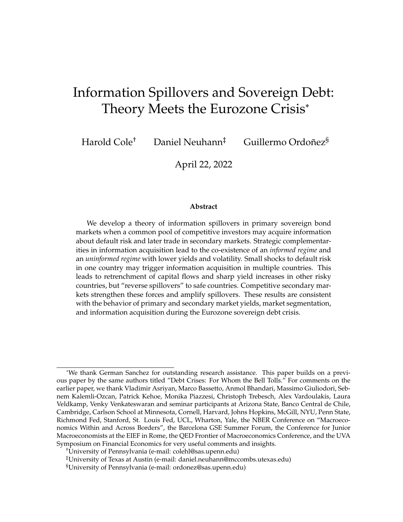#### **A.6 Proof of Lemma 1**

The return of a Country-1 bond bought at the high price (in state  $g$ ) in case of default is 1 (with expected probability  $\kappa'_1(g)$ ) and in case of repayment  $\frac{1-P_1(g)}{P_1(g)}$  (with expected probability 1  $\hat{H}_1(g)$ ). This implies that the expected return of such bond is  $\hat{R}_1^i(g) =$ 1  $i_1(g)$   $P_1(g)$  $\frac{g}{p_1(g)}$  and the standard deviation is  $\hat{\sigma}_1' = \frac{\hat{\pi}(g)(1 - \hat{\pi}(g))}{p_1(g)}$  $\frac{g_1(1-\frac{1}{1}(g))}{P_1(g)}$ . Since  $\kappa'_1(g) = \kappa_1(g)$  and  $\kappa_1^U(g) = \kappa_1$ , the difference in Sharpe ratios can be written as

$$
S_1'(g) \t S_1''(g) = \frac{1 - \kappa_1(g)}{\sqrt{\kappa_1(g)(1 - \kappa_1(g))}} \frac{1 - \kappa_1}{\sqrt{\kappa_1(1 - \kappa_1)}} \t P_1(g) \left( \frac{1}{\sqrt{\kappa_1(g)(1 - \kappa_1(g))}} \frac{1}{\sqrt{\kappa_1(1 - \kappa_1)}} \right)
$$

If  $\kappa_1 < \frac{1}{2}$  $\frac{1}{2}$ , then  $S_1^I(g)$   $S_1^U(g) > 0$  and strictly decreasing in  $P_1(g)$ . **Q.E.D.** 

#### **A.7 Proof of Proposition 5**

Let  $n_1 \, 2 \, (0, 1)$ . There are 8 possible states: for each  $\theta_j \, 2 \, f \cdot g$ ,  $\theta_g$ , each country may default  $(d)$  or repay  $(r)$ . Since there is no information in Country 2, we can proceed as if there were only one state with default probability  $\kappa_2$ . Simplify notation by writing state-contingent consumption as  $fc^i_{rr}(\theta)$ ,  $c^i_{rd}(\theta)$ ,  $c^i_{dr}(\theta)$ ,  $c^i_{dd}(\theta)$ g. Then i's objective function can be written as

$$
V' = f_1(g) \left\{ \begin{array}{c} \kappa_1(g) \left[ \kappa_2 U(c_{dd}^i(g)) + (1 - \kappa_2)U(c_{dr}^i(g)) \right] \\ + (1 - \kappa_1(g)) \left[ \kappa_2 U(c_{rd}^i(g)) + (1 - \kappa_2)U(c_{rr}^i(g)) \right] \end{array} \right\}
$$
  
+  $f_1(b) \left\{ \begin{array}{c} \kappa_1(b) \left[ \kappa_2 U(c_{dd}^b) + (1 - \kappa_2)U(c_{dr}^b) \right] \\ + (1 - \kappa_1(b)) \left[ \kappa_2 U(c_{rd}^b) + (1 - \kappa_2)U(c_{rr}^b) \right] \end{array} \right\}$ 

We compute a second-order Taylor approximation of the objective function around  $B_j^i(\theta_j) = 0$  for all *i*, all *j*, and all  $\theta_j$ . For informed investors, the associated first-order conditions with respect to  $B_1^i(g)$ ,  $B_1^i(b)$  and  $B_2^i$  are, respectively,

$$
0 = f_1(g)(1 \kappa_1(g) P_1(g))U^{\emptyset}(W)
$$
  
+  $f_1(g) [\kappa_1(g)( P_1(g))^2 + (1 \kappa_1(g))(1 P_1(g))^2]U^{\emptyset}(W)B'_1(g)$   
+  $f_1(g)(1 \kappa_1(g) P_1(g))(1 \kappa_2 P_2)U^{\emptyset}(W)B'_2$  (6)

$$
0 = f_1(b)(1 \kappa_1(b) P_1(b))U^{\emptyset}(W) + f_1(b) [\kappa_1(b)( P_1(b))^2 + (1 \kappa_1(b))(1 P_1(b))^2]U^{\emptyset}(W)B'_1(b) + f_1(b)(1 \kappa_1(b) P_1(b))(1 \kappa_2 P_2)U^{\emptyset}(W)B'_2
$$
(7)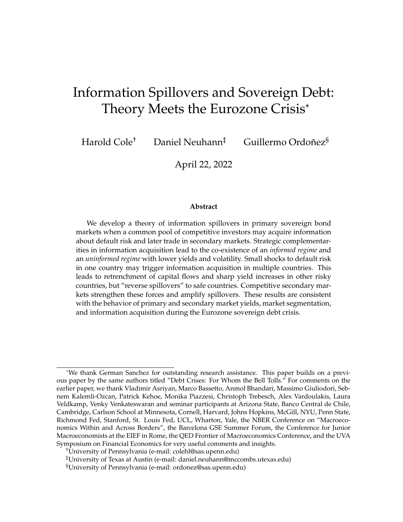$$
0 = (1 \kappa_2 P_2)U^{\theta}(W) + \left[\kappa_2(P_2)^2 + (1 \kappa_2)(1 P_2)^2\right]U^{\theta}(W)B_2' + f_1(g)(1 \kappa_2 P_2)(1 \kappa_1(g) P_1(g))U^{\theta}(W)B_1'(g) + f_1(b)(1 \kappa_2 P_2)(1 \kappa_1(b) P_1(b))U^{\theta}(W)B_1'(b)
$$
(8)

Define informed expected rates of return by  $r'_1(g) = \frac{1 - 1(g) - P_1(g)}{P_1(g)}$ ,  $r'_1(b) = \frac{1 - 1(b) - P_1(b)}{P_1(b)}$ and  $r'_2 = \frac{1}{P_2 P_2}$  $\frac{2}{p_2}$  and let  $\sigma'_1(g)$ ,  $\sigma'_1(b)$ , and  $\sigma'_2$  denote the associated standard deviations. The first term of the RHS of (6) can be rewritten in terms of returns as

$$
f_1(g)(1 - \kappa_1(g) - P_1(g))U^{\ell}(W) = f_1(g)r_1(g)P_1(g)U^{\ell}(W)
$$

and the second term as

$$
f_1(g)\Big[\kappa_1(g)(P_1(g))^2+(1-\kappa_1(g))(1-P_1(g))^2\Big]U^{\emptyset}(W)B_1^{\{g\}}=f_1(g)\mathrm{E}\left[\left(r_1^{\{g\}}\right)^2\right]P_1(g)^2U^{\emptyset}(W)B_1^{\{g\}}
$$

All other terms in equations (6)-(8) can be analogously rewritten. Let  $U(c) = \frac{c^{1-\gamma}-1}{1}$  $\frac{1}{1}$ , and define the state-contingent portfolio weights  $\omega_1^J(g) = \frac{P_1(g)B_1^J(g)}{W}$  $\frac{\partial B_1^I(g)}{\partial W}$ ,  $\omega_1^I(b) = \frac{P_1(b)B_1^I(b)}{W}$  $\frac{\sqrt{D_1(D)}}{W}$ , and  $\omega_2' = \frac{P_2 B_2^I}{W}$ . Since  $Var(x) = E[x^2]$   $(E[x])^2$ , the system of equations is

$$
r'_1(g) = \gamma \omega'_1(g) \left( \left( \sigma'_1(g) \right)^2 + \left( r'_1(g) \right)^2 \right) + \gamma \omega'_2 \left( r'_1(g) r'_2 \right) \tag{9}
$$

$$
r'_1(b) = \gamma \omega'_1(b) \left( \left( \sigma'_1(b) \right)^2 + \left( r'_1(b) \right)^2 \right) + \gamma \omega'_2 \left( r'_1(b) r'_2 \right) \tag{10}
$$

$$
r_2' = \gamma \omega_2' \left( \left( \sigma_2' \right)^2 + \left( r_2' \right)^2 \right) + f_1(g) \gamma \omega_1'(g) r_1'(g) r_2' + f_1(b) \gamma \omega_1'(b) r_1'(b) r_2'
$$
(11)

Optimality conditions for uninformed investors are analogous, modulo adjusting expected returns and standard deviations to take into account that bids  $P_1(g)$  are also accepted in the bad state. To facilitate comparisons of optimal portfolios, going forward we denote expected returns for a given information set simply by  $R_g$ ,  $R_b$  and  $R_2$ . Let  $\sigma_g$ ,  $\sigma_b$ , and  $\sigma_2$  denote the associated standard deviations, and  $S_g$ ,  $S_b$  and  $S_2$  the Sharpe ratios. Optimal portfolios then satisfy the following system of equations, with the only differences across types accounted for by differences in expected returns and volatities:

$$
\omega_g = \left(\frac{R_g}{\sigma_g^2 + R_g^2}\right) (1 \quad \omega_2 R_2)
$$

$$
\omega_b = \left(\frac{R_b}{\sigma_b^2 + R_b^2}\right) (1 \quad \omega_2 R_2)
$$

$$
\omega_2 = \left(\frac{R_2}{\sigma_2^2 + R_2^2}\right) (1 \quad f_1(g)\omega_g R_g \quad f_1(b)\omega_b R_b)
$$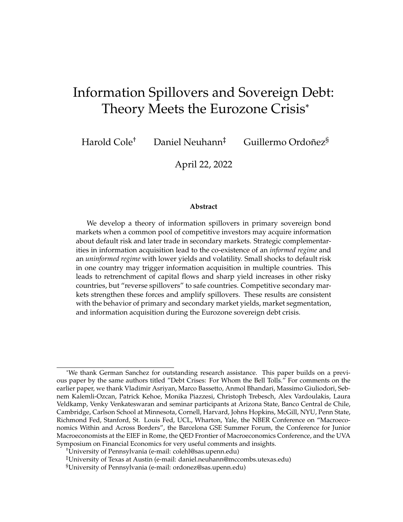Multiplying by  $R_i(1/\sigma_i^2)$ , dividing by  $(1/\sigma_i^2)$  and defining  $s = \frac{S^2}{1+S^2}$  $\frac{S^2}{1+S^2}$ , which is strictly increasing in  $S$ , we can rewrite these expressions as

$$
R_g \omega_g = s_g (1 \quad R_2 \omega_2)
$$
  

$$
R_b \omega_b = s_b (1 \quad R_2 \omega_2)
$$
  

$$
R_2 \omega_2 = s_2 (1 \quad f_1(g) R_g \omega_g \quad f_1(b) R_b \omega_b)
$$

Then plug in the first two equations into the third to give:

$$
R_2\omega_2 = s_2 \left(1 - f_1(g)s_g(1 - R_2\omega_2) - f_1(b)s_b(1 - R_2\omega_2)\right)
$$

It follows that

$$
\omega_2 = \frac{1}{R_2} \left( \frac{1}{\frac{1}{s_2}} \frac{f_1(g) s_g}{f_1(g) s_g} \frac{f_1(b) s_b}{f_1(b) s_b} \right)
$$

$$
\omega_g = \frac{s_g}{R_g} \left( \frac{\frac{1}{s_2}}{\frac{1}{s_2}} \frac{1}{f_1(g) s_g} \frac{1}{f_1(b) s_b} \right)
$$

$$
\omega_b = \frac{s_b}{R_b} \left( \frac{\frac{1}{s_2}}{\frac{1}{s_2}} \frac{1}{f_1(g) s_g} \frac{1}{f_1(b) s_b} \right)
$$

Since  $\frac{\omega_1}{\omega S_g}>0$ , then from Lemma 1,  $\omega_1'(g)>\omega_1''(g)$ . Since  $\frac{\omega_1}{\omega S_g}<0$ , then from Lemma 1,  $\omega_2^J < \omega_2^U$  and  $\frac{\mathscr{Q}(I_2^U - I_2^I)}{\mathscr{Q}P_1(g)} < 0$ .

**Q.E.D.**

#### **A.8 Proof of Proposition 6**

*First Statement.* Let all investors be uninformed. Since all investors are symmetric, there is no arbitrage across markets. If they are no price differences across markets, all investors must hold the same portfolio ex-post. Since no information is revealed at any stage, any equilibrium must feature the same allocation as the auction equilibrium.

*Second Statement.* Consider the bad state. If  $P_j(b) > \hat{P}_j(b)$ , it is strictly optimal to submit zero bids at auction, which is a contradiction with auction market clearing. Next, suppose  $P_j(b) < \hat{P}_j(b)$ . Recall that all investors' bids at  $P_j(b)$  are executed if and only if  $\theta_1 = b$ . Hence is strictly optimal for all investors to sell bonds in the secondary market. Hence the secondary market cannot clear. Now consider the good state. By auction market-clearing, we cannot have  $P_j(g) > \hat{P}_j(g)$  because all investors would then strictly prefer to trade in the secondary market. Next, we show that we must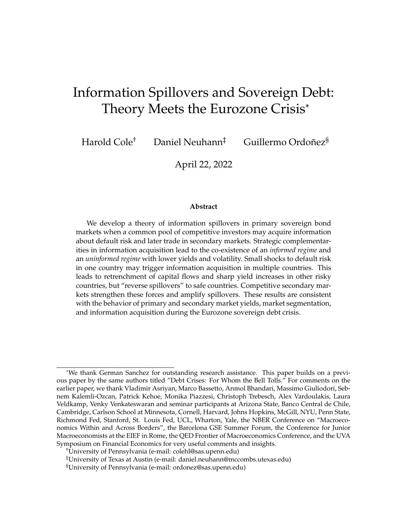have  $P_j(g) \ < \ \hat{P}_j(g)$ . Suppose not,  $P_j(g) = \ \hat{P}_j(g)$ . Then uninformed investors can trade under perfect information in the secondary market but receive the same price as in the auction. Hence the value of information is zero, and there is no incentive to become informed.  $P_j(g) < \hat{P}_j(g)$  is sustainable in equilibrium because uninformed investors are adversely selected if buying at auction. Hence as long as  $\hat{P}_j(g)$   $P_j(g)$  is sufficiently small, uninformed investors strictly prefer to buy in the secondary market.

Suppose  $\theta_j = b$ , both informed and uninformed investors would trade to arbitrage price differences (recall that uninformed bids at the low price are accepted if and only if  $\theta_1 = b$ ). But if all investors take the same side of the arbitrage in the primary market, then the secondary market cannot clear. Now turn to the good state. If  $P_i(g) > q_i(g)$ , then all investors find it strictly optimal to wait, and the primary market does not clear. Hence the informed cannot do better than the uninformed, and there are no incentives to acquire information. Hence, when there is information in the auction it must be that  $P_i(g) < q_i(g)$ .

Now, turning to bids, informed investors fully exploit the arbitrage opportunity using all wealth allocated to country  $j$  to buy bonds in the good state and by selling a fraction to uninformed investors in the secondary market. Uninformed investors cannot exploit the arbitrage in the same manner ecause they run the risk of overpaying in the bad state. To see why arbitrage can persist, note that the supply of assets in the secondary market is bounded above by  $\sum_{i: a_j^i = 1}$  $n^i$  W  $\frac{f_1^n W}{P_j(g)}$ , while the demand for bonds in the primary market is decreasing in the fraction of informed investors. All else equal, reducing the number of informed investors thus widens the gap between primary and secondary market prices in the high state.

*Third statement.* In the limit  $n_1$  ! 0, almost all investors are ex-ante identical. By market-clearing, it follows trivially that auction prices must converge to the limiting prices of the auction-only equilibrium. Now consider the limit of secondary market prices. Since  $\hat{P}_1(b) = P_1(b)$  for all  $n_1 > 0$ , we have  $\lim_{n_1 \to 0} \hat{P}_1(b) = \lim_{n_1 \to 0} P_1^A(b)$ . Next consider the high state. The case  $\lim_{n_1 \neq 0} \hat{P}_1(g) < \lim_{n_1 \neq 0} P_1(g)$  can be immediately ruled out by the second statement. Suppose for a contradiction that  $\lim_{n\to\infty} \hat{P}_1(g) =$  $\lim_{n\to\infty} P_1(g)$ . Since  $\lim_{n\to\infty} P_1(b) < \lim_{n\to\infty} P_1(g)$ , for  $n_1$  sufficiently small it is strictly optimal for any uninformed investor to submit zero bids at  $P_1(g)$  and purchase bonds only in the secondary market. Since  $n_1W < D_1$  for  $n_1$  sufficiently small, we have a contradiction with market clearing. **Q.E.D.**

**Proposition 8** (Value of Information)**.** *When there are secondary markets after the auction:*

- *(i)* As  $n_1$  ! 0, the value of information is strictly higher than without secondary markets.
- *(ii) The range of information costs for which an informed equilibrium exists is strictly larger.*
- *(iii)* If and only if  $n_1$   $\hat{n}_1$  $D_1$  $\frac{D_1}{W \ D_2}$ , the value of information is zero, the equilibrium *with secondary markets delivers the same allocations and prices as the full information* auction equilibrium, and there is no cross-market arbitrage,  $P_j(\theta_j) = \hat{P}_j(\theta_j)$  for all  $\theta_j.$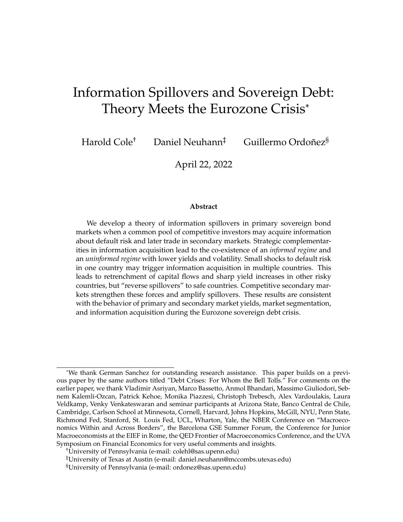*(iv) Any equilibrium with endogenous information acquisition satisfies*  $n_1 < n_1$ .

#### **A.9 Proof of Proposition 8**

*First Statement.* By Proposition 6,  $\lim_{n\neq 0} \hat{P}_j(\theta_j) = \lim_{n\neq 0} P^A_j(\theta_j)$  and  $\lim_{n\neq 0} \hat{P}_1(g) > 0$  $\lim_{n\to\infty} P_1(g)$ . By the Inada condition, it is always strictly optimal to invest a strictly positive amount of wealth into the risk-free asset in the auction equilibrium say  $W$ . The following is a feasible portfolio that generates strictly higher utitlity than the optimal auction-only portfolio: (i) buy the same portfolio at auction, (ii) in addition spend W on bonds in state g in Country 1, and (iii) sell the additional bonds purchased with  $W$  in the secondary market at a strict profit. This portfolio has higher average returns and less volatility, and so it is strictly preferred. Since uninformed investors obtain the same utility as in the auction equilibrium in the limit  $n_1 / 0$ , the result follows.

*Second Statement.* Follows immediately from the first statement.

*Third Statement.* There is enough informed capital to fully arbitrage prices if and only if  $n \in \hat{H}_1(g)d$ ,  $\hat{B}^I(g)$ , and  $B_2^I$  denote the equilibrium good-state price and informed bids in the equilibrium in which all investors are informed and there are no secondary markets. In this equilibrium, informed investors spend  $\hat{P}_2 \hat{B}_2^I$  in Country 2. By auction-clearing,  $\hat{P}_2 \hat{B}_2^T = D_2$ . By the budget constraint, informed investors have  $W$   $D_2$  in capital to invest in Country 1. In order for informed buy the entire supply of bonds in Country 1 at price  $P_1$  if  $\theta_1 = g$ , we require that  $n_1(W \t D_2)$   $P_1B_1'(g) = D_1$ , where the last equality follows from auction clearing. This holds iff  $n_1 \t n_1$ . Hence  $_1'(g) = D_1$ , where the last equality follows from auction clearing. This holds iff  $n_1$ . iff  $n - h_1$ , we can construct an equilibrium in which informed investors buy the entire supply of bonds in the primary market when  $\theta_1 = g$ , and then sell some of these bonds to uninformed investors in the secondary market at the same price. This implies that uninformed investors can buy bonds as if they were informed and choose not to participate in primary markets. Hence the equilibrium must be such that all prices are identical to the fully informed equilibrium.

*Fourth statement.* By the third statement, uninformed investors choose the same ex-post portfolio as informed investors if and only if  $n_1$   $\hat{n}_1$ . Hence the value of information is positive if and only if  $n_1 < \hat{n}_1$ .

### **B Further Background on the Eurozone Crisis**

In this section, we provide futher background on the European Sovereign Debt Crisis, which lasted several years and involved most Eurozone countries. Its start can be dated to late 2009, when some European countries reported surprisingly high deficitto-GDP ratios following the global financial crisis of 2008, with Greece being the most dramatic case. Lane identifies three sub-periods of the crisis. In the first phase, Greek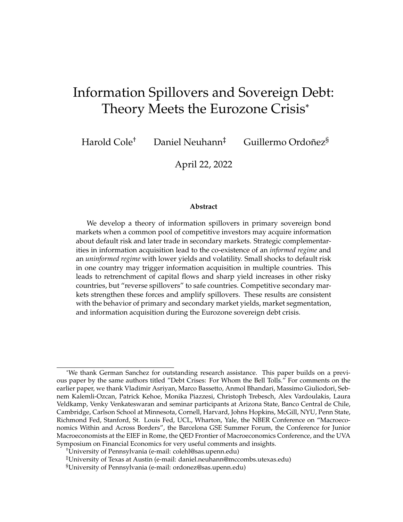yields diverged from the rest of the Eurozone in early 2010, and Greece required official assistance in May 2010. Next, Irish and Portuguese yields decoupled from the remaining countries in 2010 and the first half of 2011. Ireland required a bailout in November 2010 followed by Portugal in May 2011. These events were closely followed by rising yields in Spain and Italy in early 2011. Interestingly, yields of "core" countries such as Germany and France remained low throughout. During the second and third phases of the crisis, Lane also documents that markets became fragmented, in the sense that investors pulled back from foreign countries.

Portugal was among the hardest-hit countries. Moody's downgraded its sovereign bond rating in the summer of 2010, and it obtained a bailout for 78 billion euros from the ECB and the IMF almost a year later. The experience of Italy was quite different. In contrast to Greece, Ireland, Portugal and Spain, Italy was able to keep its 2009 budget deficit in check. It was, however, a very indebted country, second only to Greece in Europe, which raised concerns about its sustainability. Even though Italian bonds were not downgraded based on Italy's fundamentals, there was an increase in oversight by credit rating agencies. As a result, on August of 2011 the ECB announced the possibility of buying Italian bonds to lower borrowing costs. Italian debt ended up downgraded by Standard and Poor's of September 2011, more than a year after Portugal. Germany followed a very different path. German bonds and its fundamentals were never in doubt, not by investors nor credit rating agencies. Indeed, Germany's borrowing costs declined while most other countries' were increasing. As a result Germany took a leading role in managing the crisis.

In sum, Portugal was a country with fundamental solvency problems that were quickly recognized by credit rating agencies, while Germany did not have fundamental problems. Italy was an intermediate case. It did not pose clear fundamental problems: banks were sound, there was no speculation in a housing bubble, the annual budget deficit was low and, while indebtedness was large, and more than half the debt was owned by Italians, making it less vulnerable to foreign investors. Still, Italy raised suspicion given its high overall debt levels, which induced investors to better assess its economic and political prospects. The New York Times reported "As Greece teeters on the brink of a default, the game has changed: Investors are taking aim at any country suffering from a combination of high debt, slow growth and political dysfunction and Italy has it all, in spades."<sup>13</sup> Through the lens of our model, it is thus a case study for information spillovers.

In the main text, we showed yields for one-year bonds. We now also show them for six-month bonds in Figure 14. While Portuguese yields departed from Italy and Germany in 2009, Italian yields departed from those in Germany, slightly at the beginning of 2010 and then more dramatically when Portugal lost access to markets in April 2011. At that point Italy's borrowing costs increased dramatically, moving in opposite direction than those in Germany. While this pattern is very clear for the oneyear maturity, it is also present in the half-year maturity, albeit with higher volatility.

<sup>&</sup>lt;sup>13</sup>"Debt Contagion Threatens Italy" New York Times, July 11, 2011.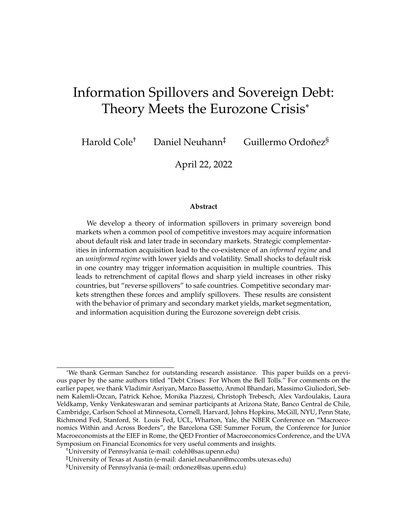

Figure 15 shows the spread between primary and secondary yields for each country and each maturity.



Figure 15: Spreads between primary and secondary yields

### **C Details on Primary Market Institutions and Data**

Here we present the details and sources of the primary markets data we use in our analysis. We also discuss the institutional details of primary markets in the three countries that we focus on in the main text. To provide a sense of the available data on primary markets, we first provide a brief description of the variables that we have collected and used: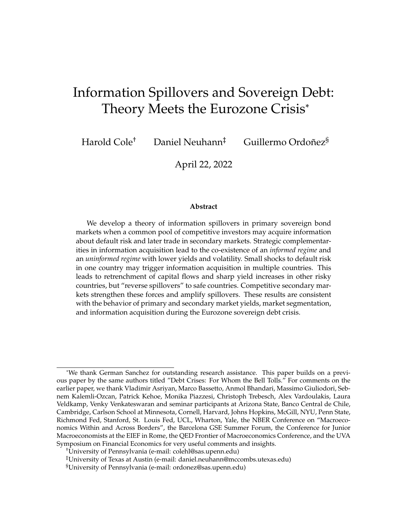- Auction Date: Date on which the auction is held.
- Maturity Date: Date on which the face value of the bond is paid to the investor.
- Effective Maturity: This variable highlights the distinction between new bond issuance (a new brand instrument is auctioned) and re-openings (a bond previously issued is auctioned). For example, a 9-month bond could be "re-opened" 6 month later. This implies the new issued bond will mature in 3 months, and both bonds will mature the same day. The effective date for the new issued bond will equal 3 months.
- Segment Maturity: In the previous example, this refers to the date of the original issuance. This implies that the segment maturity will equal 9 months for the reopened 3 month bond. The Segment maturity and the Effective Maturity will be same only for issuances of brand new bonds.
- Issuance Amount: Measured in euros. Total value of bonds auctioned.
- Bidded Amount: Measured in euros. Total value of bids by market participants in the auction. This variable potentially could be larger than the Issuance Amount, in which case the auctioneer creates a rule to allocate the auctioned resources.
- Alloted Amount: Measured in euros. Total value of the bonds effectively sold after the bid process is concluded. Normally if the Bidded Amount is larger than the Issuance Amount, the Alloted amount will equal the Issuance Amount. Otherwise it will equal the Bidded Amount.
- Weighted Average Price/Yield: A weighted average of all alloted (accepted) bids.
- Maximum Average Yield: It is the yield associated with the lowest accepted price .
- Minimum Average Yield: It is the yield associated with the highest accepted price.

In the paper we focus on discount Treasury Bills for Germany, Italy and Portugal. The specific names for the instrument in each country are:

- 1. **Germany:** Unverzinsliche Schatzanweisungen (Bubills).
- 2. **Italy:** Buoni Ordinari del Tesoro (BOTs).
- 3. **Portugal:** Bilhetes do Tesouro (BTs)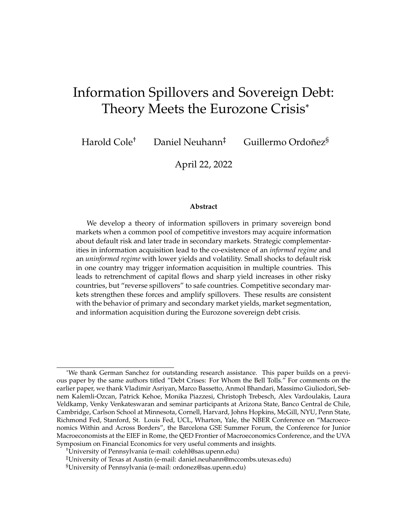Table 8 lists all the relevant variables and their availability for each particular instrument.

| Variable List - Auction       |           |              |            |  |  |  |
|-------------------------------|-----------|--------------|------------|--|--|--|
| Variables / Country           | Germany   | <b>Italy</b> | Portugal   |  |  |  |
|                               | (Bubills) | (BOTs)       | (BTs)      |  |  |  |
| Data Availability             | 2005-2020 | 2000-2021    | 2006-2021  |  |  |  |
| <b>Auction Date</b>           | З         | 3            | 3          |  |  |  |
| <b>Maturity Date</b>          | 3         | 3            | 3          |  |  |  |
| <b>Effective Maturity</b>     | 3         | 3            | 3          |  |  |  |
| <b>Segment Maturity</b>       | 3         | 3            | 3          |  |  |  |
| Issuance Amount (e)           | 3         | 3            | Incomplete |  |  |  |
| Bidded Amount $(e)$           | 3         | 3            |            |  |  |  |
| Alloted Amount $(e)$          | 3         | 3            | З          |  |  |  |
| Weighted Average Price        | 3         | 3            | 3          |  |  |  |
| Weighted Average Yield        | 3         | 3            | 3          |  |  |  |
| Maximum Average Yield         | 3         | 3            | 3          |  |  |  |
| Minimum Average Yield         |           | 3            | 3          |  |  |  |
| Competitive Bids (e)          | 3         |              | 3          |  |  |  |
| Non-Competitive Bids $(e)$    | 3         |              | 7          |  |  |  |
| Competitive Allotment (e)     |           |              | З          |  |  |  |
| Non-Competitive Allotment (e) |           |              | 3          |  |  |  |

Table 8: Primary Market Variables Availability by Country

Now we provide specific details about the auction protocol in each country. We provide the main source of information below, which we complement with more general details about participants in European auctions from the "European Primary Dealers Handbook", published by the Association for Financial Markets in Europe's (AFME): <https://www.afme.eu>.

### **C.1 Germany**

Data for Germany was taken from the Federal Republic of Germany's Finance Agency (Bundesrepublik Deutschland Finanzagentur GmbH), which is the central service provider for the Federal Republic of Germany's borrowing and debt management. They provide historical about auction results, $14$  and information about the operation and institutional details of auctions.<sup>15</sup>. We have complemented some of the informa-

<sup>14</sup>[https://www.deutsche-finanzagentur.de/en/institutional-investors/](https://www.deutsche-finanzagentur.de/en/institutional-investors/primary-market/auction-results/) [primary-market/auction-results/](https://www.deutsche-finanzagentur.de/en/institutional-investors/primary-market/auction-results/)

<sup>15</sup>[https://www.deutsche-finanzagentur.de/en/institutional-investors/](https://www.deutsche-finanzagentur.de/en/institutional-investors/primary-market/auction-results/) [primary-market/auction-results/](https://www.deutsche-finanzagentur.de/en/institutional-investors/primary-market/auction-results/)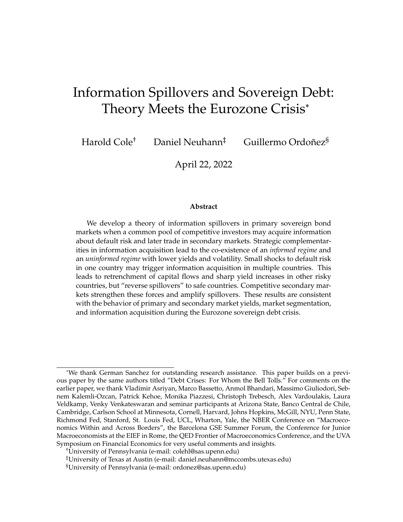tion with data from the Bundensbank.<sup>16</sup>

**Description of the Primary Market:** Federal bonds (Bunds), five-year Federal notes (Bobls), Federal Treasury notes (Schätze) and Treasury discount paper (Bubills) are issued through a tender procedure. They differ in their maturity, and interest, among other details. Importantly, the German government issues and taps securities for *all their long-and short-term borrowing via multi-price auctions.* For easy of comparison with other countries, in this paper we focus on short-term treasury discount paper, Bubills. These bonds (normally) have maturities of 6 and 12 months. The auctions for Bubills take place on Mondays with value date on the following Wednesday.

**Participants:** Only members of the Bund Issues Auction Group (Bietergruppe Bundesemissionen) may participate in the auctions directly. Membership is approved by the German Finance Agency on behalf of the German Government. The Auction Group is comprised of credit institutions, securities trading banks and securities trading firms. At the end of each year, the German Finance Agency publishes a ranking list of bidders' maturity-weighted shares in the allotted issue amounts. Members are expected to have a certain minimum placing power, i.e. at least 0.05% of the total maturity-weighted amounts allotted in the auctions in a calendar year  $17$ . Those member institutions that fail to reach the required minimum share of the total amount allotted are excluded from the Auction Group.

**Bidding Details:** Bids for Federal bonds, five-year Federal notes and Federal Treasury notes and Treasury discount paper must be for a par value of no less than e1 million or an integral multiple thereof and should state the price, as a percentage of the par value, at which the bidders are prepared to purchase. It is possible to make non-competitive bids and to submit several bids at different prices. In accordance to the multiple-price auction, bids which are above the lowest price accepted by the Federal Government will be allotted in full. Bids which are below the lowest accepted price will not be considered. Non-competitive bids are allotted at the weighted average price of the competitive bids accepted. Bidders are informed of the allotment immediately.

**Bund Bidding System (BBS):** The Deutsche Bundesbank provides the BBS (Bund Bidding System) as an electronic primary market platform. The allotted amounts are published in the Bund Bidding System (BBS) for the members of the Bund Issues Auction Group *on the day of the auction immediately after the allotment decision has been made*. The securities allotted are settled on the value date specified in the invitation to bid.

<sup>16</sup>[https://www.bundesbank.de/resource/blob/706804/599ea32756aa5d2d8c9493b8a](https://www.bundesbank.de/resource/blob/706804/599ea32756aa5d2d8c9493b8a028e886/mL/2007-07-public-sector-debt-data.pdf)028e886/ [mL/2007-07-public-sector-debt-data.pdf](https://www.bundesbank.de/resource/blob/706804/599ea32756aa5d2d8c9493b8a028e886/mL/2007-07-public-sector-debt-data.pdf)

 $176$ -month Bubills are weighted with a factor of 0.5, while 12-month Bubills are weighted with a factor of 1. Schätze, Bobls, ten-year Bunds and 30-year Bunds are weighted with the factors 4, 8, 15 and 25 respectively.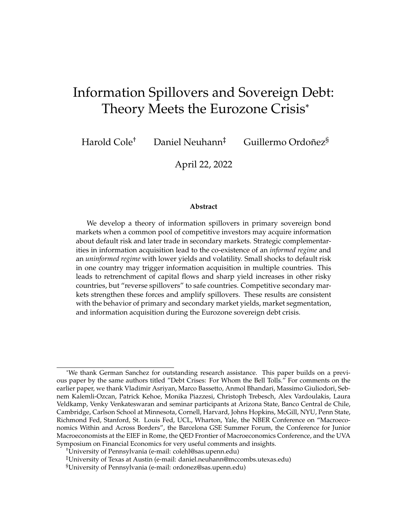### **C.2 Italy**

Data for Italy was taken from the Ministry of the Economy and Finance (Ministero dell'Economia e delle Finanze). The Ministry provides historical information about auction results, $18$  and information about the operation and institutional details of auctions. $1920$ 

**Description of the Primary Market:** The Ministry of the Economy and Finance sets out the issue of five categories of Government bonds available for both private and institutional investors on the domestic market: Treasury Bills (BOTs); Zero Coupon Bonds (CTZs); Treasury Certificates (CCTeus); Treasury Bonds (BTPs); Treasury Bonds Indexed to Eurozone Inflation (BTPeis); Treasury Bonds Indexed to Italian Inflation (BTPItalia). They differ in their maturity, interest, and importantly in the auction type.

The Italian Treasury makes use of two kinds of auction protocols for these instruments:

- 1. Multi-price auction on a yield basis are used for BOTs, with standard maturities of 3, 6, and 12 months.
- 2. Single-price auction, where the auction price and the quantity issued are determined discretionally by the Treasury within a pre-announced interval of amounts in issuance, are used for all medium-long terms bonds (zero-coupon, nominal fixed and floating rate, and inflation indexed bonds).

**Participants** Only Primary Dealers can participate in auctions. They also have exclusive access to reserved reopenings of Government bond auctions and exclusive participation in syndicated and US dollar issuances. These Dealers are called "Specialists" and must reside in the European Union, be a bank or an investment company, and operate on regulated markets and/or on wholesale multilateral trading systems whose registered office is in the EU. According to the Italian regulation, Primary Dealers should participate in the Government securities auctions with continuity and efficiency, and contribute to the efficiency of the secondary market. A necessary condition to maintain the qualification of a Specialist is the allocation at auction, on an annual basis, of a primary market quota equal to, at least, 3% of the total annual issuance through auctions by the Treasury  $21$ . Another index called the

<sup>18</sup>[http://www.dt.mef.gov.it/en/debito\\_pubblico/emissioni\\_titoli\\_di\\_stato\\_](http://www.dt.mef.gov.it/en/debito_pubblico/emissioni_titoli_di_stato_interni/risultati_aste/) [interni/risultati\\_aste/](http://www.dt.mef.gov.it/en/debito_pubblico/emissioni_titoli_di_stato_interni/risultati_aste/)

<sup>19</sup>[http://www.dt.mef.gov.it//export/sites/sitodt/modules/documenti\\_](http://www.dt.mef.gov.it//export/sites/sitodt/modules/documenti_en/debito_pubblico/specialisti_titoli_di_stato/Specialists_evaluation_criteria_-_year_2019.pdf)

[en/debito\\_pubblico/specialisti\\_titoli\\_di\\_stato/Specialists\\_evaluation\\_](http://www.dt.mef.gov.it//export/sites/sitodt/modules/documenti_en/debito_pubblico/specialisti_titoli_di_stato/Specialists_evaluation_criteria_-_year_2019.pdf) [criteria\\_-\\_year\\_2019.pdf](http://www.dt.mef.gov.it//export/sites/sitodt/modules/documenti_en/debito_pubblico/specialisti_titoli_di_stato/Specialists_evaluation_criteria_-_year_2019.pdf)

<sup>&</sup>lt;sup>20</sup>[http://www.dt.mef.gov.it/en/debito\\_pubblico/titoli\\_di\\_stato/quali\\_sono\\_](http://www.dt.mef.gov.it/en/debito_pubblico/titoli_di_stato/quali_sono_titoli/bot/) [titoli/bot/](http://www.dt.mef.gov.it/en/debito_pubblico/titoli_di_stato/quali_sono_titoli/bot/)

 $21$ Values of 0.5, 1, and 2 are assigned to BOTs for 3, 6, and 12 months, respectively. Greater coefficients are obtained from longer maturity instruments like the BTPs of 20, 30, and 50 years which give scores of 13, 15, and 20, respectively.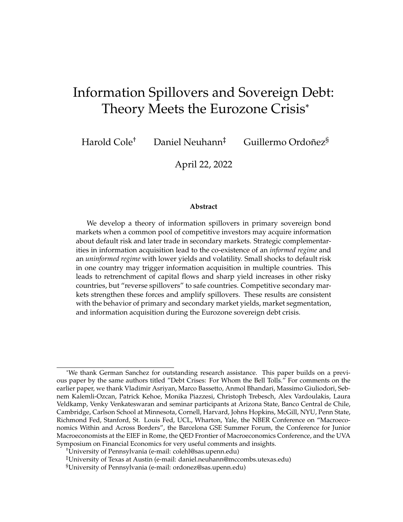"Continuity of participation in auctions" parameter is an indicator that penalize those Specialists that more frequently did not achieve the minimum level of participation.

**Bidding Details** Authorized dealers can place up to five bids, using the National Interbank Network. until 11a.m of the auction day. Presently, the settlement date for all Government bonds is two business days following the auction date (T+2). For BOTs this usually coincides with the maturity of corresponding bonds, so as to facilitate reinvestment. In Italy, unlike in many other countries, dealers place their bids in yields, not prices. Their yields must differ by at least one thousandth of one percent, and must be of at least e1.5 million and at most the entire quantity offered by the Treasury at the auction. The minimum denomination for investors is  $\epsilon$ 1,000. If bids at the final awarded yield cannot be completely satisfied, they are divided proportionally, rounding off when needed.<sup>22</sup>

#### **C.3 Portugal**

Data for Portugal was taken from the Portuguese Treasury and Debt Management Agency (IGCP - Agência de Gestão da Tesouraria e da Dívida Pública). The Agency provides historical infomration about auctions results, $^{23}$  and information about the operation and institutional details of auctions.24

**Description of the Primary Market:** The IGCP issues various kind of debt instruments: Fixed rate Bonds (OT), Treasury Bills (BT), Floating Rate Bonds (OTRV), Saving Certificates  $(CA)$  and Treasury Certificates  $(CT)$ , among others. The Obrigações do Tesouro (OT) are the main instrument used by the Republic of Portugal to satisfy its borrowing requirements. OTs are medium- and long-term book-entry securities issued by syndication, auction or by tap. These instruments are released every quarter, and auctioned through single/uniform auction protocols. In this paper we focus on Treasury Bill (BT) instruments, which are short-term securities with a face value of one euro and are issued with maturities of 3, 6, and 12 months. Importantly, *the IGCP uses the multi-price auction method for BTs.*

**Participants:** Participation in BT auctions is confined to institutions that have been granted the status of Treasury Bill Specialist (EBT)<sup>25</sup>. These Primary Dealers are entitled to exclusive access to the facilities created by the IGCP to support the market, such as the BT repo window of last resort, among others. Treasury Bill Specialists are bound to actively participate in BT auctions, by bidding regularly under normal market conditions and by subscribing to a share no lower than 2% of the amount

 $22$ To avoid that the weighted average yield is negatively influenced by bids made at yields that are not in line with the market, a minimum acceptable (or safeguard) yield is calculated.

<sup>23</sup><https://www.igcp.pt/en/1-4-399/auctions/bt-auctions/>

<sup>&</sup>lt;sup>24</sup>[https://www.igcp.pt/fotos/editor2/2015/Legislacao/Instrucao\\_BT\\_1\\_2015\\_](https://www.igcp.pt/fotos/editor2/2015/Legislacao/Instrucao_BT_1_2015_UK.pdf) [UK.pdf](https://www.igcp.pt/fotos/editor2/2015/Legislacao/Instrucao_BT_1_2015_UK.pdf)

 $25$ Notice that for Portugal, the list of the Primary Dealers for the Bond Market (OT) might differ from that of the Primary Dealers / Specialists in the Treasury Bills market (EBT).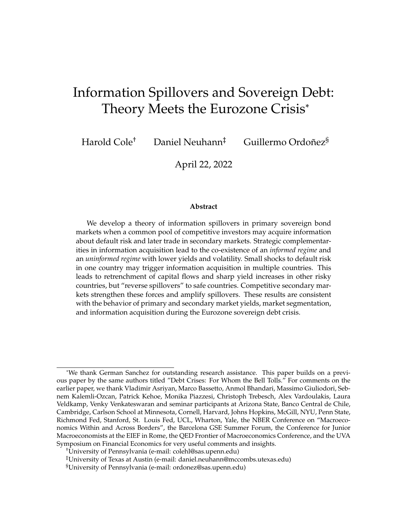placed in the competitive phase of auctions. They should also participate actively in the secondary market of Treasury Bills (BT), by maintaining a share of no less than 2% of the turnover of this market segment. Primary Dealers are ranked based on the EBT Performance Appraisal Index, which is constructed considering their participation in both primary and secondary markets.

**Bidding Details:** BT auctions can be held on the 1st or (usually) 3rd Wednesday of each month. The specific details for each auction are announced directly to the Treasury Bill Specialists (EBT) and to the market, up to three days before the auction date. Settlement takes place two working days after the auction date (T+2). BT auctions are supported by an electronic system: the Bloomberg Auction System (BAS) and follow a multi-price auction model.

In the competitive phase, each participant may submit a maximum of five bids per line, in multiples of e1 million, the total of which cannot exceed the indicative amount of the auction, divided by the number of lines. Should the total amount of bids exceed the amount that the IGCP decided to place in the auction, the bids with a rate equal to the cut-off rate are allotted on a pro-rata basis (according to  $\in$ 1,000 lots). The IGCP may decide to place an amount up to one-third higher than that announced. The auction results are announced up to 15 minutes after that time, usually in the three-minute period following the deadline. The non-competitive phase amounts to a maximum of 40% of the amount allocated at the competitive auction. The competitive phase of auctions will end at 10.30a.m (11.30a.m CET) and the period for the submission of bids for the non-competitive phase will end at 10.30p.m (11.30p.m CET) of the following business day.

### **D Details on Secondary Market Institutions and Data**

The yields for the Treasury Bills of the three countries, traded daily on secondary markets, were obtained from Bloomberg. Table 9 shows the availability of the data by country and by instrument, and the corresponding Bloomberg tickers. As clear from the table, and for availability reasons, we will focus on 6-month and 12-month T-bills.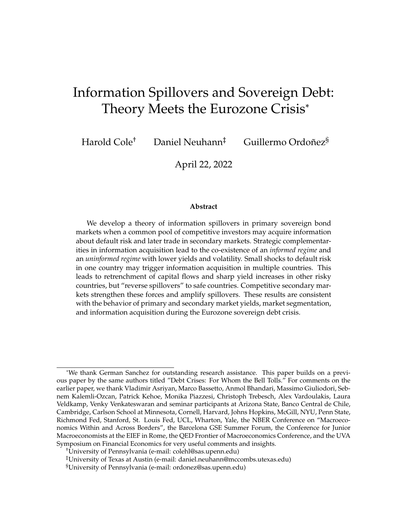| Variable List - Auction |                         |           |             |           |               |           |
|-------------------------|-------------------------|-----------|-------------|-----------|---------------|-----------|
| Instrument /            | <b>Germany (Bubill)</b> |           | Italy (BOT) |           | Portugal (BT) |           |
| Country                 | Ticker                  | Period    | Ticker      | Period    | Ticker        | Period    |
| 3-month T-bill          |                         |           |             |           | GTPTE3M       | 2004-2021 |
|                         |                         |           |             |           | Govt          |           |
| 6-month T-bill          | GTDEM6M                 | 2002-2021 | GTITL6M     | 2006-2021 | GTPTE6M       | 2004-2021 |
|                         | Govt                    |           | Govt        |           | Govt          |           |
| 12-month T-bill         | GTDEM12M                | 1997-2021 | GTITL1Y     | 2006-2021 | GTPTE1Y       | 2002-2021 |
|                         | Govt                    |           | Govt        |           | Govt          |           |

Table 9: Secondary Market Variables Availability by Country

In what follows we discuss the requirements for participation of Primary Dealers in secondary markets in each of the three countries we consider.

#### **D.1 Germany**

Nominal and inflation-linked German government securities as well as bills are traded on German stock exchanges, numerous international electronic trading platforms and on the over-the-counter (OTC) market. Unlike many other countries, the German Primary Dealers do not have strict market maker obligations, especially in the secondary market.<sup>26</sup> At the end of 2020, Bubills made up  $\epsilon$ 113,5 bn of Federal securities outstanding in the secondary market (incl. inflation-linked securities). This corresponds to a share of about 8% of the volume of all outstanding Federal securities.

### **D.2 Italy**

The Treasury does not directly set specific quoting obligations for Primary Dealers (i.e., Specialists) on the market. According to the current Italian framework, the Treasury must evaluate the Specialists on quote-driven regulated markets, on a relative basis monitoring certain parameters such as the quotation quality index.<sup>27</sup> Other indices used to evaluate Specialists include cash traded volumes parameter, depth contribution indices, repo traded volumes, etc.

 $^{26}$ In 2005, the German Finance Agency established a reporting system regarding the secondary market activities of the members of the Bund Issues Auction Group in marketable German Federal securities. The members of the Bund Issues Auction Group provide information on prices, trade volumes, and counterparty data to the Finance Agency.

 $27$ The quotation quality index (QQI) is an indicator based on high frequency snapshots, made on each market day for each Specialist. For each snapshot, the ranking of the Specialist is made with respect to the best ranked Specialist, both for the bid and ask sides for each traded instrument. The index rewards more those dealers that continuously show the best prices both for the bid and the ask sides. Lower QQI values, which indicate an average overall positioning closer to the best prices, denote a better performance. The daily rankings relative to each bond are then aggregated (simple average) by classes of bonds.